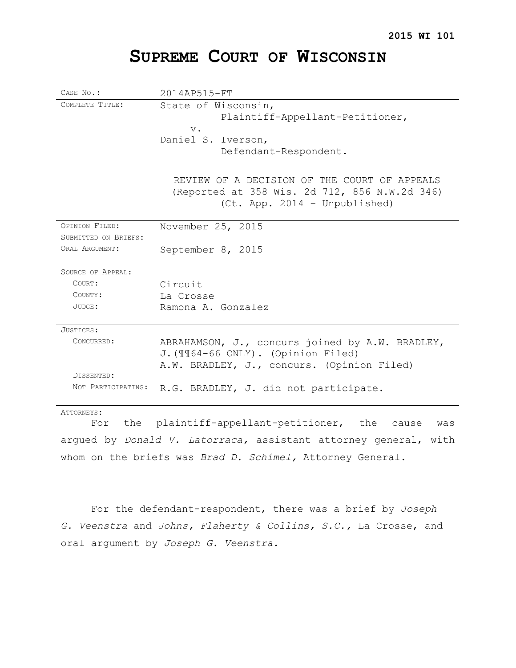# **SUPREME COURT OF WISCONSIN**

| CASE No.:            | 2014AP515-FT                                                                                                                   |
|----------------------|--------------------------------------------------------------------------------------------------------------------------------|
| COMPLETE TITLE:      | State of Wisconsin,                                                                                                            |
|                      | Plaintiff-Appellant-Petitioner,                                                                                                |
|                      | $V_{\bullet}$                                                                                                                  |
|                      | Daniel S. Iverson,                                                                                                             |
|                      | Defendant-Respondent.                                                                                                          |
|                      |                                                                                                                                |
|                      | REVIEW OF A DECISION OF THE COURT OF APPEALS<br>(Reported at 358 Wis. 2d 712, 856 N.W.2d 346)<br>(Ct. App. 2014 - Unpublished) |
| OPINION FILED:       | November 25, 2015                                                                                                              |
| SUBMITTED ON BRIEFS: |                                                                                                                                |
| ORAT, ARGUMENT:      | September 8, 2015                                                                                                              |
| SOURCE OF APPEAL:    |                                                                                                                                |
| COURT:               | Circuit                                                                                                                        |
| COUNTY:              | La Crosse                                                                                                                      |
| $JUDGE$ :            | Ramona A. Gonzalez                                                                                                             |
| JUSTICES:            |                                                                                                                                |
| CONCURRED:           | ABRAHAMSON, J., concurs joined by A.W. BRADLEY,                                                                                |
|                      | J. (1164-66 ONLY). (Opinion Filed)                                                                                             |
|                      | A.W. BRADLEY, J., concurs. (Opinion Filed)                                                                                     |
| DISSENTED:           |                                                                                                                                |
| NOT PARTICIPATING:   | R.G. BRADLEY, J. did not participate.                                                                                          |
| ATTORNEYS:           |                                                                                                                                |

For the plaintiff-appellant-petitioner, the cause was argued by *Donald V. Latorraca,* assistant attorney general, with whom on the briefs was *Brad D. Schimel,* Attorney General.

For the defendant-respondent, there was a brief by *Joseph G. Veenstra* and *Johns, Flaherty & Collins, S.C.,* La Crosse, and oral argument by *Joseph G. Veenstra.*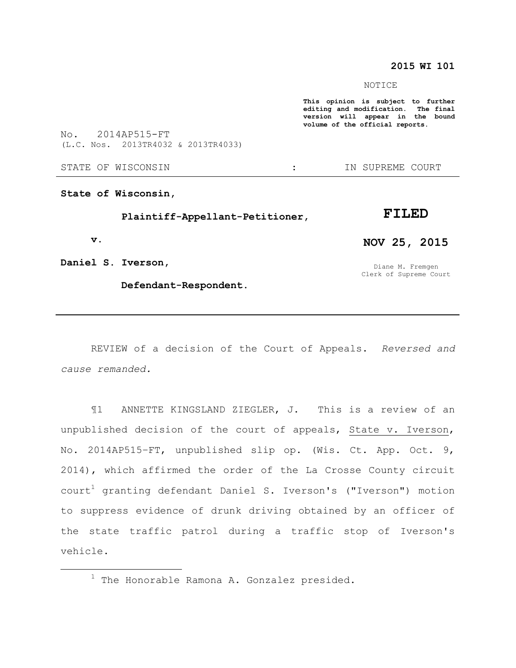# **2015 WI 101**

NOTICE

**This opinion is subject to further editing and modification. The final version will appear in the bound volume of the official reports.** 

No. 2014AP515-FT (L.C. Nos. 2013TR4032 & 2013TR4033)

STATE OF WISCONSIN THE RESERVE STATE OF WISCONSIN THE SERVER SOURT

**State of Wisconsin,**

 **Plaintiff-Appellant-Petitioner,**

 **v.**

 $\overline{a}$ 

**FILED**

**Daniel S. Iverson,**

 **Defendant-Respondent.**

REVIEW of a decision of the Court of Appeals. *Reversed and cause remanded.*

¶1 ANNETTE KINGSLAND ZIEGLER, J. This is a review of an unpublished decision of the court of appeals, State v. Iverson, No. 2014AP515–FT, unpublished slip op. (Wis. Ct. App. Oct. 9, 2014), which affirmed the order of the La Crosse County circuit court<sup>1</sup> granting defendant Daniel S. Iverson's ("Iverson") motion to suppress evidence of drunk driving obtained by an officer of the state traffic patrol during a traffic stop of Iverson's vehicle.

**NOV 25, 2015**

Diane M. Fremgen Clerk of Supreme Court

 $1$  The Honorable Ramona A. Gonzalez presided.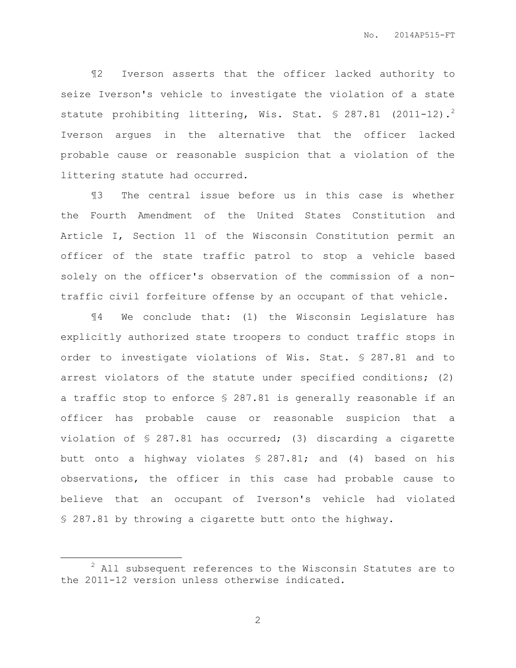¶2 Iverson asserts that the officer lacked authority to seize Iverson's vehicle to investigate the violation of a state statute prohibiting littering, Wis. Stat.  $$287.81$  (2011-12).<sup>2</sup> Iverson argues in the alternative that the officer lacked probable cause or reasonable suspicion that a violation of the littering statute had occurred.

¶3 The central issue before us in this case is whether the Fourth Amendment of the United States Constitution and Article I, Section 11 of the Wisconsin Constitution permit an officer of the state traffic patrol to stop a vehicle based solely on the officer's observation of the commission of a nontraffic civil forfeiture offense by an occupant of that vehicle.

¶4 We conclude that: (1) the Wisconsin Legislature has explicitly authorized state troopers to conduct traffic stops in order to investigate violations of Wis. Stat. § 287.81 and to arrest violators of the statute under specified conditions; (2) a traffic stop to enforce § 287.81 is generally reasonable if an officer has probable cause or reasonable suspicion that a violation of § 287.81 has occurred; (3) discarding a cigarette butt onto a highway violates § 287.81; and (4) based on his observations, the officer in this case had probable cause to believe that an occupant of Iverson's vehicle had violated § 287.81 by throwing a cigarette butt onto the highway.

 $\overline{a}$ 

 $2$  All subsequent references to the Wisconsin Statutes are to the 2011-12 version unless otherwise indicated.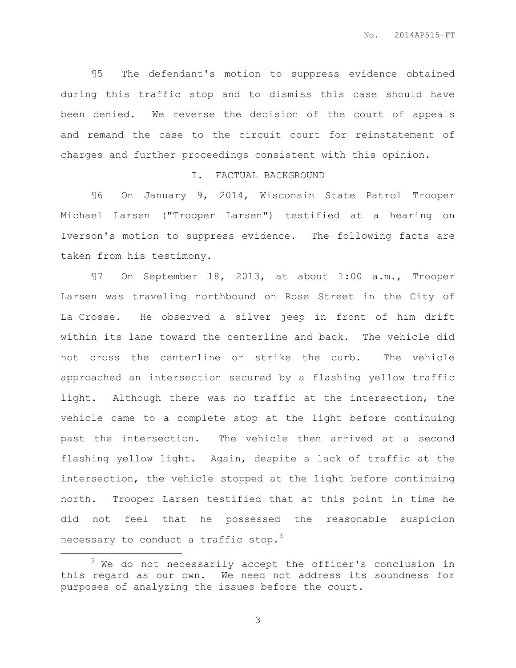¶5 The defendant's motion to suppress evidence obtained during this traffic stop and to dismiss this case should have been denied. We reverse the decision of the court of appeals and remand the case to the circuit court for reinstatement of charges and further proceedings consistent with this opinion.

#### I. FACTUAL BACKGROUND

¶6 On January 9, 2014, Wisconsin State Patrol Trooper Michael Larsen ("Trooper Larsen") testified at a hearing on Iverson's motion to suppress evidence. The following facts are taken from his testimony.

¶7 On September 18, 2013, at about 1:00 a.m., Trooper Larsen was traveling northbound on Rose Street in the City of La Crosse. He observed a silver jeep in front of him drift within its lane toward the centerline and back. The vehicle did not cross the centerline or strike the curb. The vehicle approached an intersection secured by a flashing yellow traffic light. Although there was no traffic at the intersection, the vehicle came to a complete stop at the light before continuing past the intersection. The vehicle then arrived at a second flashing yellow light. Again, despite a lack of traffic at the intersection, the vehicle stopped at the light before continuing north. Trooper Larsen testified that at this point in time he did not feel that he possessed the reasonable suspicion necessary to conduct a traffic stop.<sup>3</sup>

 $\overline{a}$ 

 $3$  We do not necessarily accept the officer's conclusion in this regard as our own. We need not address its soundness for purposes of analyzing the issues before the court.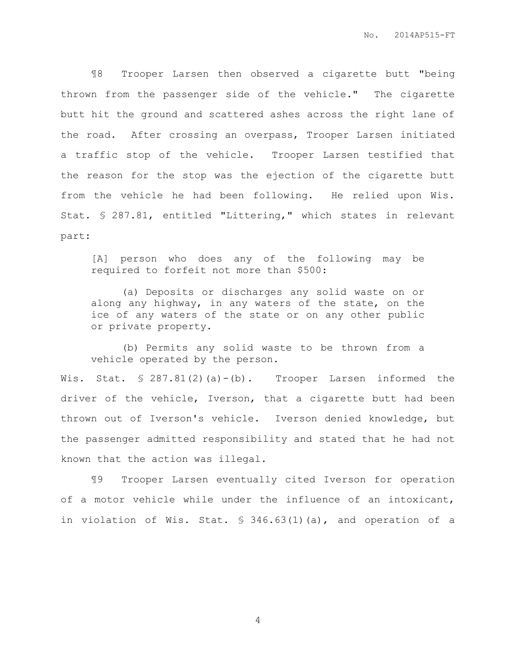¶8 Trooper Larsen then observed a cigarette butt "being thrown from the passenger side of the vehicle." The cigarette butt hit the ground and scattered ashes across the right lane of the road. After crossing an overpass, Trooper Larsen initiated a traffic stop of the vehicle. Trooper Larsen testified that the reason for the stop was the ejection of the cigarette butt from the vehicle he had been following. He relied upon Wis. Stat. § 287.81, entitled "Littering," which states in relevant part:

[A] person who does any of the following may be required to forfeit not more than \$500:

(a) Deposits or discharges any solid waste on or along any highway, in any waters of the state, on the ice of any waters of the state or on any other public or private property.

(b) Permits any solid waste to be thrown from a vehicle operated by the person.

Wis. Stat.  $\text{\$ }287.81(2)$  (a) - (b). Trooper Larsen informed the driver of the vehicle, Iverson, that a cigarette butt had been thrown out of Iverson's vehicle. Iverson denied knowledge, but the passenger admitted responsibility and stated that he had not known that the action was illegal.

¶9 Trooper Larsen eventually cited Iverson for operation of a motor vehicle while under the influence of an intoxicant, in violation of Wis. Stat. § 346.63(1)(a), and operation of a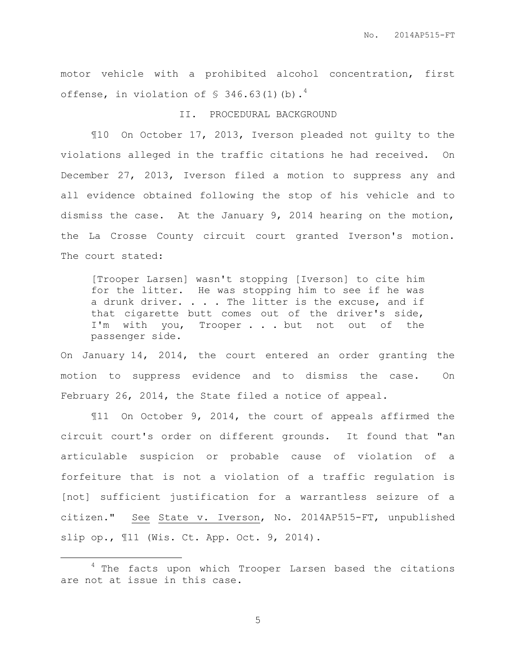motor vehicle with a prohibited alcohol concentration, first offense, in violation of  $\$$  346.63(1)(b).<sup>4</sup>

## II. PROCEDURAL BACKGROUND

¶10 On October 17, 2013, Iverson pleaded not guilty to the violations alleged in the traffic citations he had received. On December 27, 2013, Iverson filed a motion to suppress any and all evidence obtained following the stop of his vehicle and to dismiss the case. At the January 9, 2014 hearing on the motion, the La Crosse County circuit court granted Iverson's motion. The court stated:

[Trooper Larsen] wasn't stopping [Iverson] to cite him for the litter. He was stopping him to see if he was a drunk driver. . . . The litter is the excuse, and if that cigarette butt comes out of the driver's side, I'm with you, Trooper . . . but not out of the passenger side.

On January 14, 2014, the court entered an order granting the motion to suppress evidence and to dismiss the case. On February 26, 2014, the State filed a notice of appeal.

¶11 On October 9, 2014, the court of appeals affirmed the circuit court's order on different grounds. It found that "an articulable suspicion or probable cause of violation of a forfeiture that is not a violation of a traffic regulation is [not] sufficient justification for a warrantless seizure of a citizen." See State v. Iverson, No. 2014AP515-FT, unpublished slip op., ¶11 (Wis. Ct. App. Oct. 9, 2014).

 $\overline{a}$ 

<sup>&</sup>lt;sup>4</sup> The facts upon which Trooper Larsen based the citations are not at issue in this case.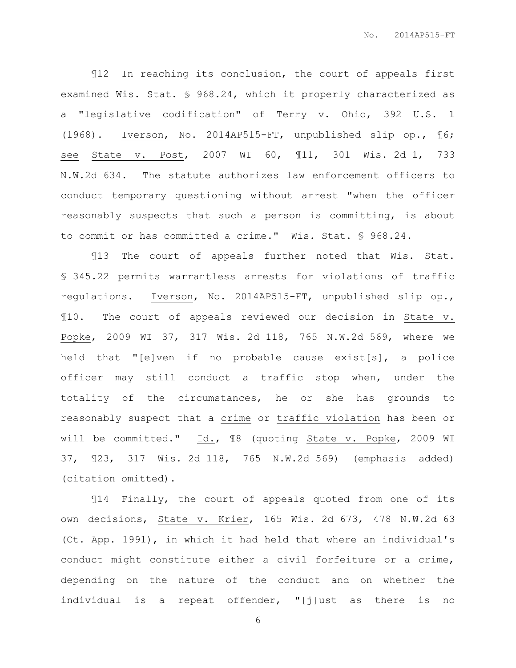¶12 In reaching its conclusion, the court of appeals first examined Wis. Stat. § 968.24, which it properly characterized as a "legislative codification" of Terry v. Ohio, 392 U.S. 1 (1968). Iverson, No. 2014AP515-FT, unpublished slip op., ¶6; see State v. Post, 2007 WI 60, ¶11, 301 Wis. 2d 1, 733 N.W.2d 634. The statute authorizes law enforcement officers to conduct temporary questioning without arrest "when the officer reasonably suspects that such a person is committing, is about to commit or has committed a crime." Wis. Stat. § 968.24.

¶13 The court of appeals further noted that Wis. Stat. § 345.22 permits warrantless arrests for violations of traffic regulations. Iverson, No. 2014AP515-FT, unpublished slip op., ¶10. The court of appeals reviewed our decision in State v. Popke, 2009 WI 37, 317 Wis. 2d 118, 765 N.W.2d 569, where we held that "[e]ven if no probable cause exist[s], a police officer may still conduct a traffic stop when, under the totality of the circumstances, he or she has grounds to reasonably suspect that a crime or traffic violation has been or will be committed." Id., ¶8 (quoting State v. Popke, 2009 WI 37, ¶23, 317 Wis. 2d 118, 765 N.W.2d 569) (emphasis added) (citation omitted).

¶14 Finally, the court of appeals quoted from one of its own decisions, State v. Krier, 165 Wis. 2d 673, 478 N.W.2d 63 (Ct. App. 1991), in which it had held that where an individual's conduct might constitute either a civil forfeiture or a crime, depending on the nature of the conduct and on whether the individual is a repeat offender, "[j]ust as there is no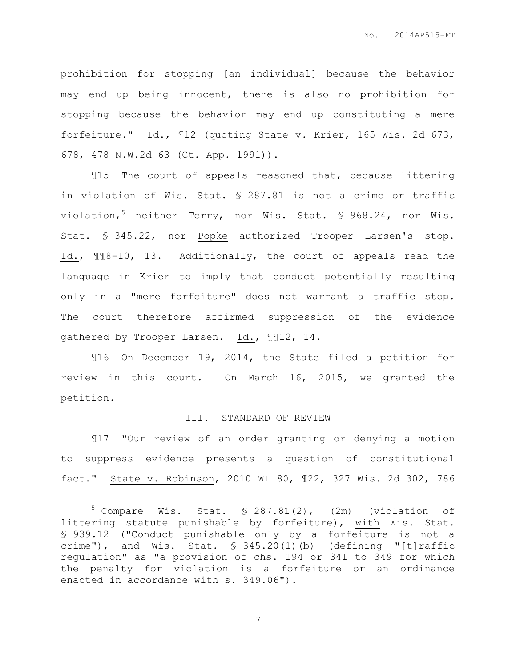prohibition for stopping [an individual] because the behavior may end up being innocent, there is also no prohibition for stopping because the behavior may end up constituting a mere forfeiture." Id., ¶12 (quoting State v. Krier, 165 Wis. 2d 673, 678, 478 N.W.2d 63 (Ct. App. 1991)).

¶15 The court of appeals reasoned that, because littering in violation of Wis. Stat. § 287.81 is not a crime or traffic violation,<sup>5</sup> neither Terry, nor Wis. Stat. § 968.24, nor Wis. Stat. § 345.22, nor Popke authorized Trooper Larsen's stop. Id., ¶¶8-10, 13. Additionally, the court of appeals read the language in Krier to imply that conduct potentially resulting only in a "mere forfeiture" does not warrant a traffic stop. The court therefore affirmed suppression of the evidence gathered by Trooper Larsen. Id., ¶¶12, 14.

¶16 On December 19, 2014, the State filed a petition for review in this court. On March 16, 2015, we granted the petition.

#### III. STANDARD OF REVIEW

¶17 "Our review of an order granting or denying a motion to suppress evidence presents a question of constitutional fact." State v. Robinson, 2010 WI 80, ¶22, 327 Wis. 2d 302, 786

 $\overline{a}$ 

 $5$  Compare Wis. Stat.  $\frac{1}{2}$  287.81(2), (2m) (violation of littering statute punishable by forfeiture), with Wis. Stat. § 939.12 ("Conduct punishable only by a forfeiture is not a crime"), and Wis. Stat.  $$345.20(1)(b)$  (defining "[t]raffic regulation" as "a provision of chs. 194 or 341 to 349 for which the penalty for violation is a forfeiture or an ordinance enacted in accordance with s. 349.06").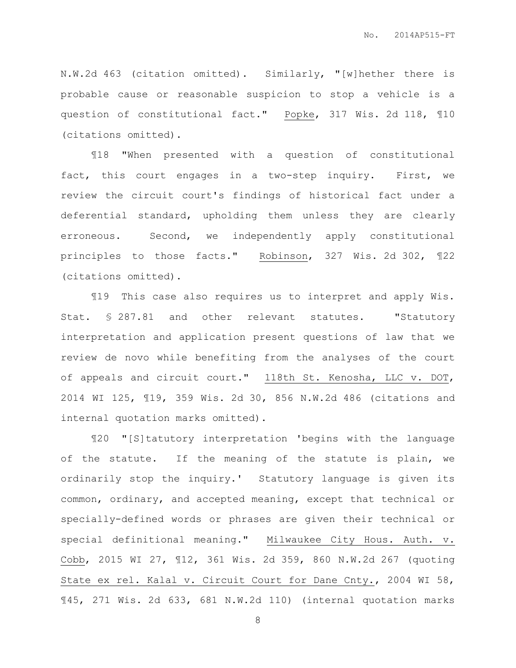N.W.2d 463 (citation omitted). Similarly, "[w]hether there is probable cause or reasonable suspicion to stop a vehicle is a question of constitutional fact." Popke, 317 Wis. 2d 118, ¶10 (citations omitted).

¶18 "When presented with a question of constitutional fact, this court engages in a two-step inquiry. First, we review the circuit court's findings of historical fact under a deferential standard, upholding them unless they are clearly erroneous. Second, we independently apply constitutional principles to those facts." Robinson, 327 Wis. 2d 302, ¶22 (citations omitted).

¶19 This case also requires us to interpret and apply Wis. Stat. § 287.81 and other relevant statutes. "Statutory interpretation and application present questions of law that we review de novo while benefiting from the analyses of the court of appeals and circuit court." 118th St. Kenosha, LLC v. DOT, 2014 WI 125, ¶19, 359 Wis. 2d 30, 856 N.W.2d 486 (citations and internal quotation marks omitted).

¶20 "[S]tatutory interpretation 'begins with the language of the statute. If the meaning of the statute is plain, we ordinarily stop the inquiry.' Statutory language is given its common, ordinary, and accepted meaning, except that technical or specially-defined words or phrases are given their technical or special definitional meaning." Milwaukee City Hous. Auth. v. Cobb, 2015 WI 27, ¶12, 361 Wis. 2d 359, 860 N.W.2d 267 (quoting State ex rel. Kalal v. Circuit Court for Dane Cnty., 2004 WI 58, ¶45, 271 Wis. 2d 633, 681 N.W.2d 110) (internal quotation marks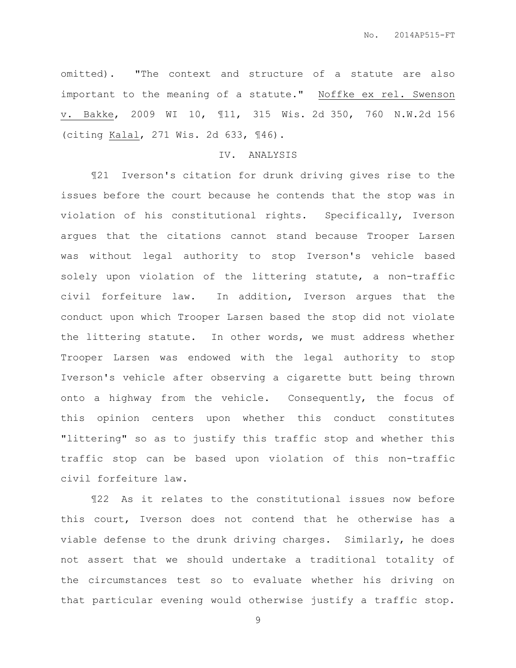omitted). "The context and structure of a statute are also important to the meaning of a statute." Noffke ex rel. Swenson v. Bakke, 2009 WI 10, ¶11, 315 Wis. 2d 350, 760 N.W.2d 156 (citing Kalal, 271 Wis. 2d 633, ¶46).

## IV. ANALYSIS

¶21 Iverson's citation for drunk driving gives rise to the issues before the court because he contends that the stop was in violation of his constitutional rights. Specifically, Iverson argues that the citations cannot stand because Trooper Larsen was without legal authority to stop Iverson's vehicle based solely upon violation of the littering statute, a non-traffic civil forfeiture law. In addition, Iverson argues that the conduct upon which Trooper Larsen based the stop did not violate the littering statute. In other words, we must address whether Trooper Larsen was endowed with the legal authority to stop Iverson's vehicle after observing a cigarette butt being thrown onto a highway from the vehicle. Consequently, the focus of this opinion centers upon whether this conduct constitutes "littering" so as to justify this traffic stop and whether this traffic stop can be based upon violation of this non-traffic civil forfeiture law.

¶22 As it relates to the constitutional issues now before this court, Iverson does not contend that he otherwise has a viable defense to the drunk driving charges. Similarly, he does not assert that we should undertake a traditional totality of the circumstances test so to evaluate whether his driving on that particular evening would otherwise justify a traffic stop.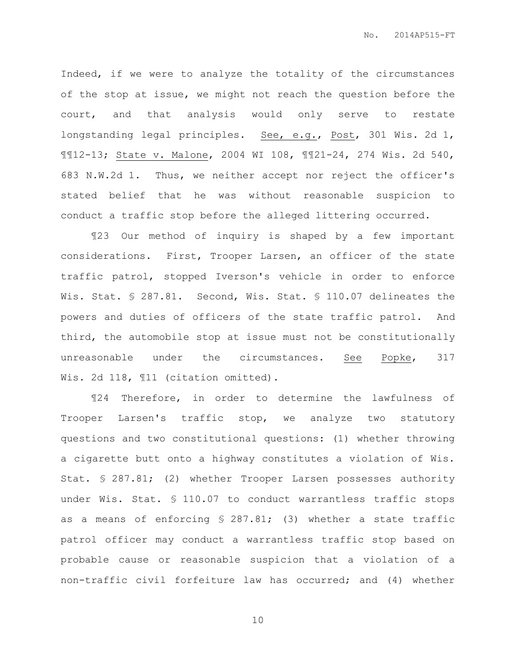Indeed, if we were to analyze the totality of the circumstances of the stop at issue, we might not reach the question before the court, and that analysis would only serve to restate longstanding legal principles. See, e.g., Post, 301 Wis. 2d 1, ¶¶12-13; State v. Malone, 2004 WI 108, ¶¶21-24, 274 Wis. 2d 540, 683 N.W.2d 1. Thus, we neither accept nor reject the officer's stated belief that he was without reasonable suspicion to conduct a traffic stop before the alleged littering occurred.

¶23 Our method of inquiry is shaped by a few important considerations. First, Trooper Larsen, an officer of the state traffic patrol, stopped Iverson's vehicle in order to enforce Wis. Stat. § 287.81. Second, Wis. Stat. § 110.07 delineates the powers and duties of officers of the state traffic patrol. And third, the automobile stop at issue must not be constitutionally unreasonable under the circumstances. See Popke, 317 Wis. 2d 118, ¶11 (citation omitted).

¶24 Therefore, in order to determine the lawfulness of Trooper Larsen's traffic stop, we analyze two statutory questions and two constitutional questions: (1) whether throwing a cigarette butt onto a highway constitutes a violation of Wis. Stat. § 287.81; (2) whether Trooper Larsen possesses authority under Wis. Stat. § 110.07 to conduct warrantless traffic stops as a means of enforcing § 287.81; (3) whether a state traffic patrol officer may conduct a warrantless traffic stop based on probable cause or reasonable suspicion that a violation of a non-traffic civil forfeiture law has occurred; and (4) whether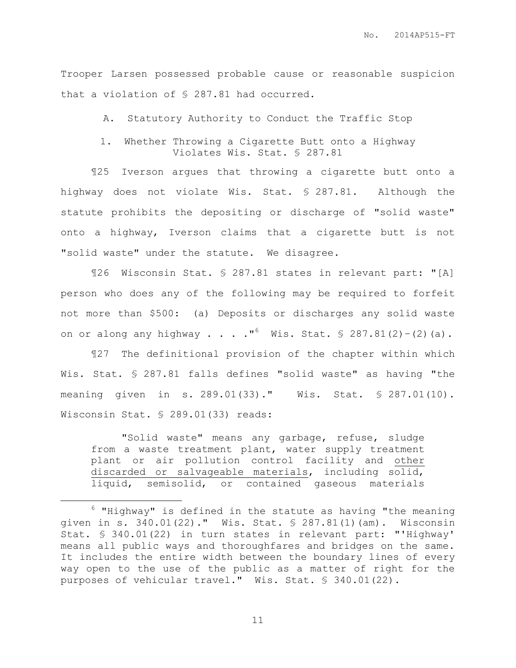Trooper Larsen possessed probable cause or reasonable suspicion that a violation of § 287.81 had occurred.

A. Statutory Authority to Conduct the Traffic Stop

1. Whether Throwing a Cigarette Butt onto a Highway Violates Wis. Stat. § 287.81

¶25 Iverson argues that throwing a cigarette butt onto a highway does not violate Wis. Stat. § 287.81. Although the statute prohibits the depositing or discharge of "solid waste" onto a highway, Iverson claims that a cigarette butt is not "solid waste" under the statute. We disagree.

¶26 Wisconsin Stat. § 287.81 states in relevant part: "[A] person who does any of the following may be required to forfeit not more than \$500: (a) Deposits or discharges any solid waste on or along any highway . . . . "<sup>6</sup> Wis. Stat. § 287.81(2)-(2)(a).

¶27 The definitional provision of the chapter within which Wis. Stat. § 287.81 falls defines "solid waste" as having "the meaning given in s. 289.01(33)." Wis. Stat. § 287.01(10). Wisconsin Stat. § 289.01(33) reads:

"Solid waste" means any garbage, refuse, sludge from a waste treatment plant, water supply treatment plant or air pollution control facility and other discarded or salvageable materials, including solid, liquid, semisolid, or contained gaseous materials

 $\overline{a}$ 

 $6$  "Highway" is defined in the statute as having "the meaning given in s. 340.01(22)." Wis. Stat. § 287.81(1)(am). Wisconsin Stat. § 340.01(22) in turn states in relevant part: "'Highway' means all public ways and thoroughfares and bridges on the same. It includes the entire width between the boundary lines of every way open to the use of the public as a matter of right for the purposes of vehicular travel." Wis. Stat. § 340.01(22).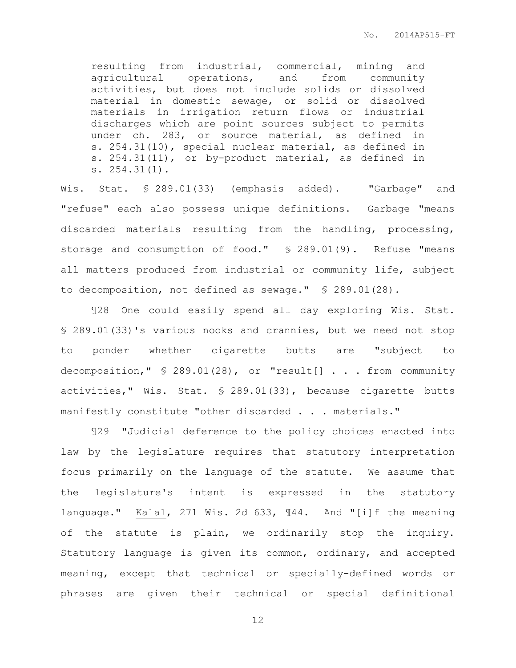resulting from industrial, commercial, mining and agricultural operations, and from community activities, but does not include solids or dissolved material in domestic sewage, or solid or dissolved materials in irrigation return flows or industrial discharges which are point sources subject to permits under ch. 283, or source material, as defined in s. 254.31(10), special nuclear material, as defined in s. 254.31(11), or by-product material, as defined in s. 254.31(1).

Wis. Stat. § 289.01(33) (emphasis added). "Garbage" and "refuse" each also possess unique definitions. Garbage "means discarded materials resulting from the handling, processing, storage and consumption of food." § 289.01(9). Refuse "means all matters produced from industrial or community life, subject to decomposition, not defined as sewage." § 289.01(28).

¶28 One could easily spend all day exploring Wis. Stat. § 289.01(33)'s various nooks and crannies, but we need not stop to ponder whether cigarette butts are "subject to decomposition," § 289.01(28), or "result[] . . . from community activities," Wis. Stat. § 289.01(33), because cigarette butts manifestly constitute "other discarded . . . materials."

¶29 "Judicial deference to the policy choices enacted into law by the legislature requires that statutory interpretation focus primarily on the language of the statute. We assume that the legislature's intent is expressed in the statutory language." Kalal, 271 Wis. 2d 633, ¶44. And "[i]f the meaning of the statute is plain, we ordinarily stop the inquiry. Statutory language is given its common, ordinary, and accepted meaning, except that technical or specially-defined words or phrases are given their technical or special definitional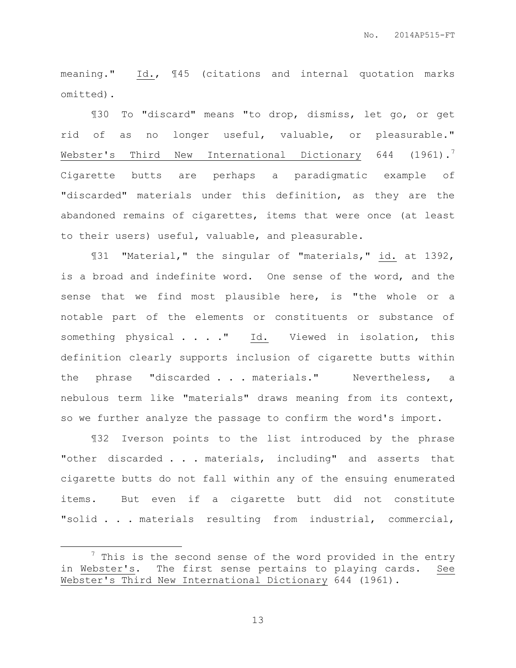meaning." Id., ¶45 (citations and internal quotation marks omitted).

¶30 To "discard" means "to drop, dismiss, let go, or get rid of as no longer useful, valuable, or pleasurable." Webster's Third New International Dictionary 644 (1961).<sup>7</sup> Cigarette butts are perhaps a paradigmatic example of "discarded" materials under this definition, as they are the abandoned remains of cigarettes, items that were once (at least to their users) useful, valuable, and pleasurable.

¶31 "Material," the singular of "materials," id. at 1392, is a broad and indefinite word. One sense of the word, and the sense that we find most plausible here, is "the whole or a notable part of the elements or constituents or substance of something physical . . . . " Id. Viewed in isolation, this definition clearly supports inclusion of cigarette butts within the phrase "discarded . . . materials." Nevertheless, a nebulous term like "materials" draws meaning from its context, so we further analyze the passage to confirm the word's import.

¶32 Iverson points to the list introduced by the phrase "other discarded . . . materials, including" and asserts that cigarette butts do not fall within any of the ensuing enumerated items. But even if a cigarette butt did not constitute "solid . . . materials resulting from industrial, commercial,

 $\overline{a}$ 

 $7$  This is the second sense of the word provided in the entry in Webster's. The first sense pertains to playing cards. See Webster's Third New International Dictionary 644 (1961).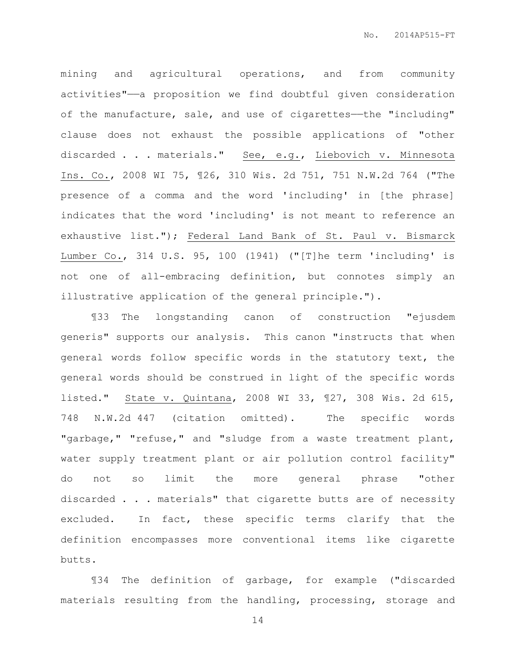mining and agricultural operations, and from community activities"——a proposition we find doubtful given consideration of the manufacture, sale, and use of cigarettes--the "including" clause does not exhaust the possible applications of "other discarded . . . materials." See, e.g., Liebovich v. Minnesota Ins. Co., 2008 WI 75, ¶26, 310 Wis. 2d 751, 751 N.W.2d 764 ("The presence of a comma and the word 'including' in [the phrase] indicates that the word 'including' is not meant to reference an exhaustive list."); Federal Land Bank of St. Paul v. Bismarck Lumber Co., 314 U.S. 95, 100 (1941) ("[T]he term 'including' is not one of all-embracing definition, but connotes simply an illustrative application of the general principle.").

¶33 The longstanding canon of construction "ejusdem generis" supports our analysis. This canon "instructs that when general words follow specific words in the statutory text, the general words should be construed in light of the specific words listed." State v. Quintana, 2008 WI 33, ¶27, 308 Wis. 2d 615, 748 N.W.2d 447 (citation omitted). The specific words "garbage," "refuse," and "sludge from a waste treatment plant, water supply treatment plant or air pollution control facility" do not so limit the more general phrase "other discarded . . . materials" that cigarette butts are of necessity excluded. In fact, these specific terms clarify that the definition encompasses more conventional items like cigarette butts.

¶34 The definition of garbage, for example ("discarded materials resulting from the handling, processing, storage and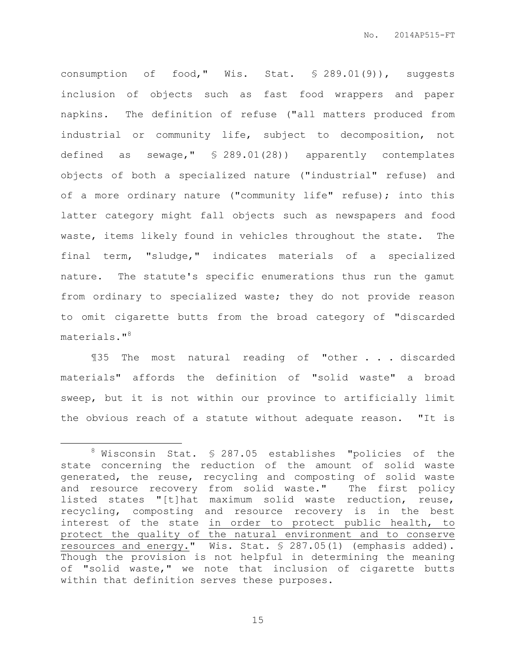consumption of food," Wis. Stat. § 289.01(9)), suggests inclusion of objects such as fast food wrappers and paper napkins. The definition of refuse ("all matters produced from industrial or community life, subject to decomposition, not defined as sewage," § 289.01(28)) apparently contemplates objects of both a specialized nature ("industrial" refuse) and of a more ordinary nature ("community life" refuse); into this latter category might fall objects such as newspapers and food waste, items likely found in vehicles throughout the state. The final term, "sludge," indicates materials of a specialized nature. The statute's specific enumerations thus run the gamut from ordinary to specialized waste; they do not provide reason to omit cigarette butts from the broad category of "discarded materials."<sup>8</sup>

¶35 The most natural reading of "other . . . discarded materials" affords the definition of "solid waste" a broad sweep, but it is not within our province to artificially limit the obvious reach of a statute without adequate reason. "It is

 $\overline{a}$ 

<sup>8</sup> Wisconsin Stat. § 287.05 establishes "policies of the state concerning the reduction of the amount of solid waste generated, the reuse, recycling and composting of solid waste and resource recovery from solid waste." The first policy listed states "[t]hat maximum solid waste reduction, reuse, recycling, composting and resource recovery is in the best interest of the state in order to protect public health, to protect the quality of the natural environment and to conserve resources and energy." Wis. Stat. § 287.05(1) (emphasis added). Though the provision is not helpful in determining the meaning of "solid waste," we note that inclusion of cigarette butts within that definition serves these purposes.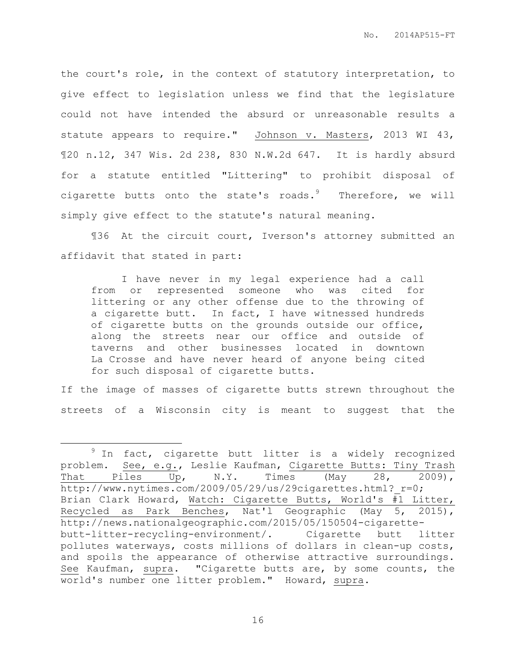the court's role, in the context of statutory interpretation, to give effect to legislation unless we find that the legislature could not have intended the absurd or unreasonable results a statute appears to require." Johnson v. Masters, 2013 WI 43, ¶20 n.12, 347 Wis. 2d 238, 830 N.W.2d 647. It is hardly absurd for a statute entitled "Littering" to prohibit disposal of cigarette butts onto the state's roads. $9$  Therefore, we will simply give effect to the statute's natural meaning.

¶36 At the circuit court, Iverson's attorney submitted an affidavit that stated in part:

I have never in my legal experience had a call from or represented someone who was cited for littering or any other offense due to the throwing of a cigarette butt. In fact, I have witnessed hundreds of cigarette butts on the grounds outside our office, along the streets near our office and outside of taverns and other businesses located in downtown La Crosse and have never heard of anyone being cited for such disposal of cigarette butts.

If the image of masses of cigarette butts strewn throughout the streets of a Wisconsin city is meant to suggest that the

 $\overline{a}$ 

 $9$  In fact, cigarette butt litter is a widely recognized problem. See, e.g., Leslie Kaufman, Cigarette Butts: Tiny Trash That Piles Up, N.Y. Times (May 28, 2009), http://www.nytimes.com/2009/05/29/us/29cigarettes.html? r=0; Brian Clark Howard, Watch: Cigarette Butts, World's #1 Litter, Recycled as Park Benches, Nat'l Geographic (May 5, 2015), http://news.nationalgeographic.com/2015/05/150504-cigarettebutt-litter-recycling-environment/. Cigarette butt litter pollutes waterways, costs millions of dollars in clean-up costs, and spoils the appearance of otherwise attractive surroundings. See Kaufman, supra. "Cigarette butts are, by some counts, the world's number one litter problem." Howard, supra.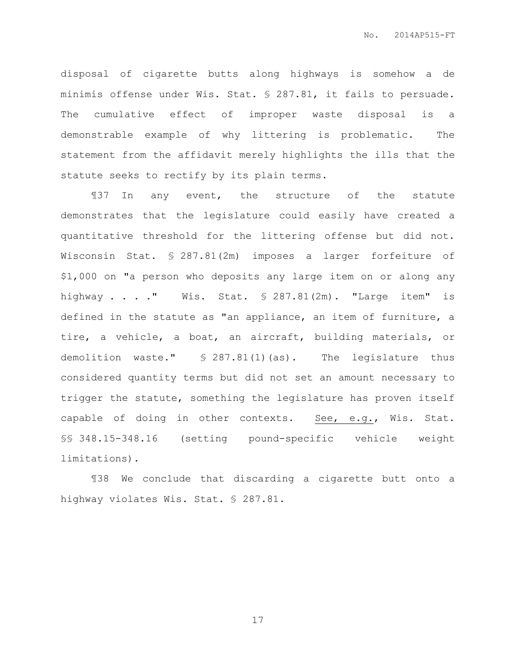disposal of cigarette butts along highways is somehow a de minimis offense under Wis. Stat. § 287.81, it fails to persuade. The cumulative effect of improper waste disposal is a demonstrable example of why littering is problematic. The statement from the affidavit merely highlights the ills that the statute seeks to rectify by its plain terms.

¶37 In any event, the structure of the statute demonstrates that the legislature could easily have created a quantitative threshold for the littering offense but did not. Wisconsin Stat. § 287.81(2m) imposes a larger forfeiture of \$1,000 on "a person who deposits any large item on or along any highway . . . ." Wis. Stat. § 287.81(2m). "Large item" is defined in the statute as "an appliance, an item of furniture, a tire, a vehicle, a boat, an aircraft, building materials, or demolition waste." § 287.81(1)(as). The legislature thus considered quantity terms but did not set an amount necessary to trigger the statute, something the legislature has proven itself capable of doing in other contexts. See, e.g., Wis. Stat. §§ 348.15-348.16 (setting pound-specific vehicle weight limitations).

¶38 We conclude that discarding a cigarette butt onto a highway violates Wis. Stat. § 287.81.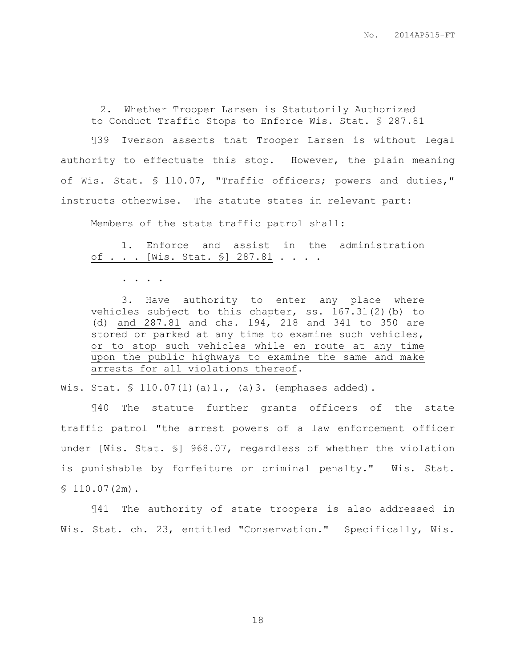2. Whether Trooper Larsen is Statutorily Authorized to Conduct Traffic Stops to Enforce Wis. Stat. § 287.81

¶39 Iverson asserts that Trooper Larsen is without legal authority to effectuate this stop. However, the plain meaning of Wis. Stat. § 110.07, "Traffic officers; powers and duties," instructs otherwise. The statute states in relevant part:

Members of the state traffic patrol shall:

1. Enforce and assist in the administration of . . . [Wis. Stat. §] 287.81 . . . .

. . . .

3. Have authority to enter any place where vehicles subject to this chapter, ss. 167.31(2)(b) to (d) and 287.81 and chs. 194, 218 and 341 to 350 are stored or parked at any time to examine such vehicles, or to stop such vehicles while en route at any time upon the public highways to examine the same and make arrests for all violations thereof.

Wis. Stat. § 110.07(1)(a)1., (a)3. (emphases added).

¶40 The statute further grants officers of the state traffic patrol "the arrest powers of a law enforcement officer under [Wis. Stat. §] 968.07, regardless of whether the violation is punishable by forfeiture or criminal penalty." Wis. Stat.  $$110.07(2m).$ 

¶41 The authority of state troopers is also addressed in Wis. Stat. ch. 23, entitled "Conservation." Specifically, Wis.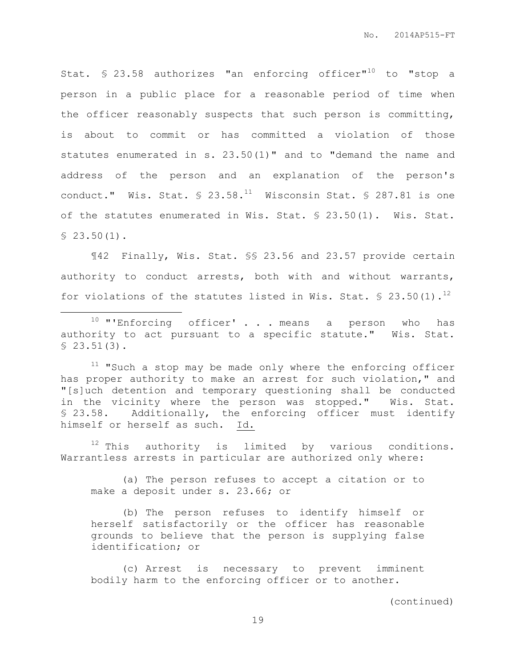Stat. § 23.58 authorizes "an enforcing officer"<sup>10</sup> to "stop a person in a public place for a reasonable period of time when the officer reasonably suspects that such person is committing, is about to commit or has committed a violation of those statutes enumerated in s. 23.50(1)" and to "demand the name and address of the person and an explanation of the person's conduct." Wis. Stat.  $\frac{1}{2}$  23.58.<sup>11</sup> Wisconsin Stat. § 287.81 is one of the statutes enumerated in Wis. Stat. § 23.50(1). Wis. Stat.  $$23.50(1)$ .

¶42 Finally, Wis. Stat. §§ 23.56 and 23.57 provide certain authority to conduct arrests, both with and without warrants, for violations of the statutes listed in Wis. Stat.  $\frac{23.50(1).^{12}}{2}$ 

 $\overline{a}$ 

 $11$  "Such a stop may be made only where the enforcing officer has proper authority to make an arrest for such violation," and "[s]uch detention and temporary questioning shall be conducted in the vicinity where the person was stopped." Wis. Stat. § 23.58. Additionally, the enforcing officer must identify himself or herself as such. Id.

 $12$  This authority is limited by various conditions. Warrantless arrests in particular are authorized only where:

(a) The person refuses to accept a citation or to make a deposit under s. 23.66; or

(b) The person refuses to identify himself or herself satisfactorily or the officer has reasonable grounds to believe that the person is supplying false identification; or

(c) Arrest is necessary to prevent imminent bodily harm to the enforcing officer or to another.

(continued)

 $10$  "'Enforcing officer' . . . means a person who has authority to act pursuant to a specific statute." Wis. Stat.  $$23.51(3).$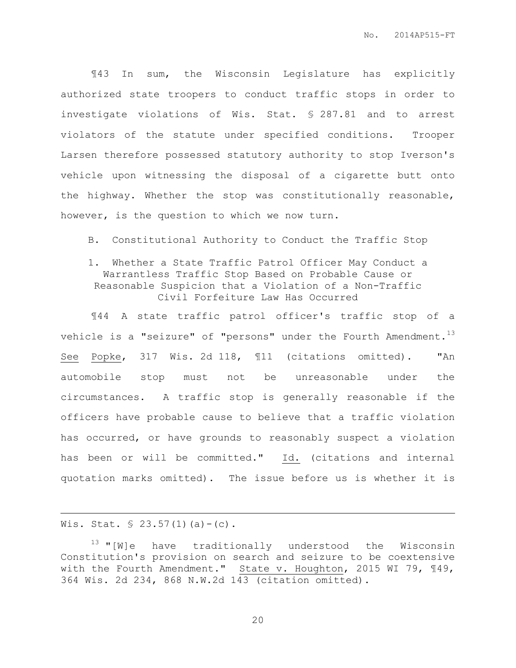¶43 In sum, the Wisconsin Legislature has explicitly authorized state troopers to conduct traffic stops in order to investigate violations of Wis. Stat. § 287.81 and to arrest violators of the statute under specified conditions. Trooper Larsen therefore possessed statutory authority to stop Iverson's vehicle upon witnessing the disposal of a cigarette butt onto the highway. Whether the stop was constitutionally reasonable, however, is the question to which we now turn.

B. Constitutional Authority to Conduct the Traffic Stop

# 1. Whether a State Traffic Patrol Officer May Conduct a Warrantless Traffic Stop Based on Probable Cause or Reasonable Suspicion that a Violation of a Non-Traffic Civil Forfeiture Law Has Occurred

¶44 A state traffic patrol officer's traffic stop of a vehicle is a "seizure" of "persons" under the Fourth Amendment.<sup>13</sup> See Popke, 317 Wis. 2d 118, ¶11 (citations omitted). "An automobile stop must not be unreasonable under the circumstances. A traffic stop is generally reasonable if the officers have probable cause to believe that a traffic violation has occurred, or have grounds to reasonably suspect a violation has been or will be committed." Id. (citations and internal quotation marks omitted). The issue before us is whether it is

# Wis. Stat.  $$ 23.57(1)(a) - (c)$ .

 $\overline{a}$ 

 $13$  "[W]e have traditionally understood the Wisconsin Constitution's provision on search and seizure to be coextensive with the Fourth Amendment." State v. Houghton, 2015 WI 79, ¶49, 364 Wis. 2d 234, 868 N.W.2d 143 (citation omitted).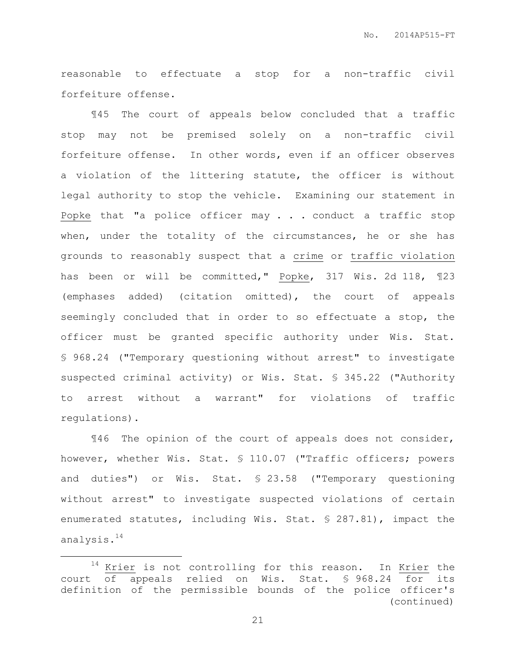reasonable to effectuate a stop for a non-traffic civil forfeiture offense.

¶45 The court of appeals below concluded that a traffic stop may not be premised solely on a non-traffic civil forfeiture offense. In other words, even if an officer observes a violation of the littering statute, the officer is without legal authority to stop the vehicle. Examining our statement in Popke that "a police officer may  $\ldots$  conduct a traffic stop when, under the totality of the circumstances, he or she has grounds to reasonably suspect that a crime or traffic violation has been or will be committed," Popke, 317 Wis. 2d 118, ¶23 (emphases added) (citation omitted), the court of appeals seemingly concluded that in order to so effectuate a stop, the officer must be granted specific authority under Wis. Stat. § 968.24 ("Temporary questioning without arrest" to investigate suspected criminal activity) or Wis. Stat. § 345.22 ("Authority to arrest without a warrant" for violations of traffic regulations).

¶46 The opinion of the court of appeals does not consider, however, whether Wis. Stat. § 110.07 ("Traffic officers; powers and duties") or Wis. Stat. § 23.58 ("Temporary questioning without arrest" to investigate suspected violations of certain enumerated statutes, including Wis. Stat. § 287.81), impact the analysis.<sup>14</sup>

 $\overline{a}$ 

<sup>&</sup>lt;sup>14</sup> Krier is not controlling for this reason. In Krier the court of appeals relied on Wis. Stat. § 968.24 for its definition of the permissible bounds of the police officer's (continued)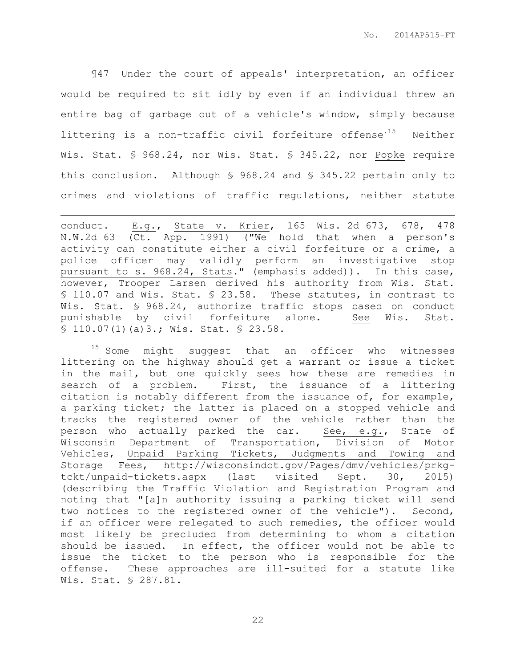¶47 Under the court of appeals' interpretation, an officer would be required to sit idly by even if an individual threw an entire bag of garbage out of a vehicle's window, simply because littering is a non-traffic civil forfeiture offense<sup>.15</sup> Neither Wis. Stat. § 968.24, nor Wis. Stat. § 345.22, nor Popke require this conclusion. Although § 968.24 and § 345.22 pertain only to crimes and violations of traffic regulations, neither statute

conduct. E.g., State v. Krier, 165 Wis. 2d 673, 678, 478 N.W.2d 63 (Ct. App. 1991) ("We hold that when a person's activity can constitute either a civil forfeiture or a crime, a police officer may validly perform an investigative stop pursuant to s. 968.24, Stats." (emphasis added)). In this case, however, Trooper Larsen derived his authority from Wis. Stat. § 110.07 and Wis. Stat. § 23.58. These statutes, in contrast to Wis. Stat. § 968.24, authorize traffic stops based on conduct punishable by civil forfeiture alone. See Wis. Stat. § 110.07(1)(a)3.; Wis. Stat. § 23.58.

 $\overline{a}$ 

 $15$  Some might suggest that an officer who witnesses littering on the highway should get a warrant or issue a ticket in the mail, but one quickly sees how these are remedies in search of a problem. First, the issuance of a littering citation is notably different from the issuance of, for example, a parking ticket; the latter is placed on a stopped vehicle and tracks the registered owner of the vehicle rather than the person who actually parked the car. See, e.g., State of Wisconsin Department of Transportation, Division of Motor Vehicles, Unpaid Parking Tickets, Judgments and Towing and Storage Fees, http://wisconsindot.gov/Pages/dmv/vehicles/prkgtckt/unpaid-tickets.aspx (last visited Sept. 30, 2015) (describing the Traffic Violation and Registration Program and noting that "[a]n authority issuing a parking ticket will send two notices to the registered owner of the vehicle"). Second, if an officer were relegated to such remedies, the officer would most likely be precluded from determining to whom a citation should be issued. In effect, the officer would not be able to issue the ticket to the person who is responsible for the offense. These approaches are ill-suited for a statute like Wis. Stat. § 287.81.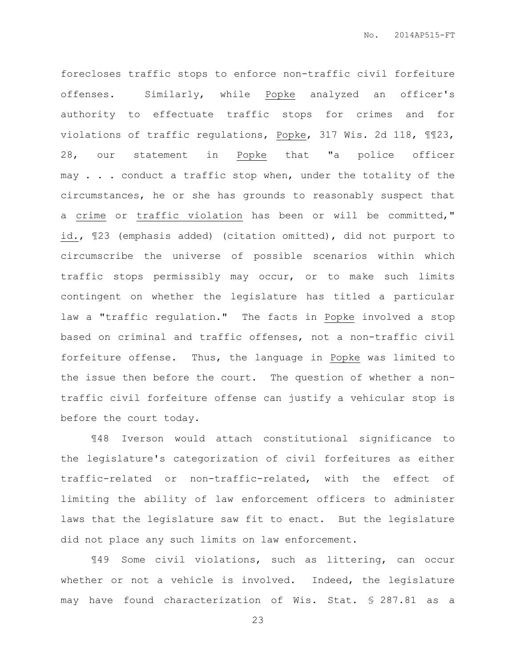forecloses traffic stops to enforce non-traffic civil forfeiture offenses. Similarly, while Popke analyzed an officer's authority to effectuate traffic stops for crimes and for violations of traffic regulations, Popke, 317 Wis. 2d 118, ¶¶23, 28, our statement in Popke that "a police officer may . . . conduct a traffic stop when, under the totality of the circumstances, he or she has grounds to reasonably suspect that a crime or traffic violation has been or will be committed," id., ¶23 (emphasis added) (citation omitted), did not purport to circumscribe the universe of possible scenarios within which traffic stops permissibly may occur, or to make such limits contingent on whether the legislature has titled a particular law a "traffic regulation." The facts in Popke involved a stop based on criminal and traffic offenses, not a non-traffic civil forfeiture offense. Thus, the language in Popke was limited to the issue then before the court. The question of whether a nontraffic civil forfeiture offense can justify a vehicular stop is before the court today.

¶48 Iverson would attach constitutional significance to the legislature's categorization of civil forfeitures as either traffic-related or non-traffic-related, with the effect of limiting the ability of law enforcement officers to administer laws that the legislature saw fit to enact. But the legislature did not place any such limits on law enforcement.

¶49 Some civil violations, such as littering, can occur whether or not a vehicle is involved. Indeed, the legislature may have found characterization of Wis. Stat. § 287.81 as a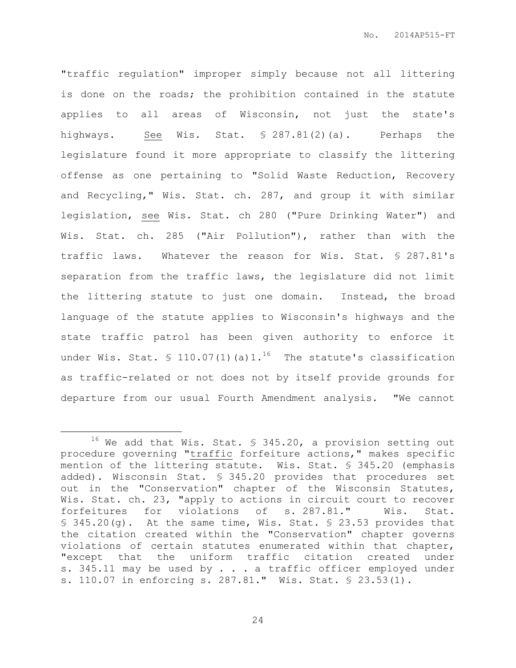"traffic regulation" improper simply because not all littering is done on the roads; the prohibition contained in the statute applies to all areas of Wisconsin, not just the state's highways. See Wis. Stat. § 287.81(2)(a). Perhaps the legislature found it more appropriate to classify the littering offense as one pertaining to "Solid Waste Reduction, Recovery and Recycling," Wis. Stat. ch. 287, and group it with similar legislation, see Wis. Stat. ch 280 ("Pure Drinking Water") and Wis. Stat. ch. 285 ("Air Pollution"), rather than with the traffic laws. Whatever the reason for Wis. Stat. § 287.81's separation from the traffic laws, the legislature did not limit the littering statute to just one domain. Instead, the broad language of the statute applies to Wisconsin's highways and the state traffic patrol has been given authority to enforce it under Wis. Stat.  $\text{\$ }110.07(1)$  (a) 1.<sup>16</sup> The statute's classification as traffic-related or not does not by itself provide grounds for departure from our usual Fourth Amendment analysis. "We cannot

 $\overline{a}$ 

 $16$  We add that Wis. Stat. § 345.20, a provision setting out procedure governing "traffic forfeiture actions," makes specific mention of the littering statute. Wis. Stat. § 345.20 (emphasis added). Wisconsin Stat. § 345.20 provides that procedures set out in the "Conservation" chapter of the Wisconsin Statutes, Wis. Stat. ch. 23, "apply to actions in circuit court to recover forfeitures for violations of s. 287.81." Wis. Stat. § 345.20(g). At the same time, Wis. Stat. § 23.53 provides that the citation created within the "Conservation" chapter governs violations of certain statutes enumerated within that chapter, "except that the uniform traffic citation created under s. 345.11 may be used by . . . a traffic officer employed under s. 110.07 in enforcing s. 287.81." Wis. Stat. § 23.53(1).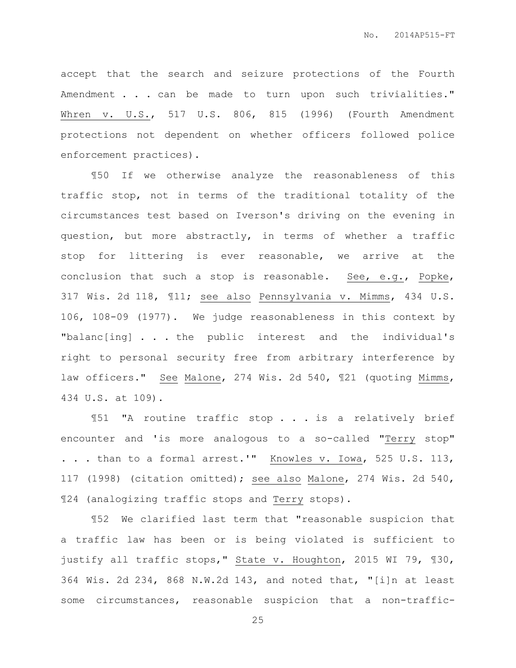accept that the search and seizure protections of the Fourth Amendment . . . can be made to turn upon such trivialities." Whren v. U.S., 517 U.S. 806, 815 (1996) (Fourth Amendment protections not dependent on whether officers followed police enforcement practices).

¶50 If we otherwise analyze the reasonableness of this traffic stop, not in terms of the traditional totality of the circumstances test based on Iverson's driving on the evening in question, but more abstractly, in terms of whether a traffic stop for littering is ever reasonable, we arrive at the conclusion that such a stop is reasonable. See, e.g., Popke, 317 Wis. 2d 118, ¶11; see also Pennsylvania v. Mimms, 434 U.S. 106, 108-09 (1977). We judge reasonableness in this context by "balanc[ing] . . . the public interest and the individual's right to personal security free from arbitrary interference by law officers." See Malone, 274 Wis. 2d 540, 121 (quoting Mimms, 434 U.S. at 109).

¶51 "A routine traffic stop . . . is a relatively brief encounter and 'is more analogous to a so-called "Terry stop" . . . than to a formal arrest.'" Knowles v. Iowa, 525 U.S. 113, 117 (1998) (citation omitted); see also Malone, 274 Wis. 2d 540, ¶24 (analogizing traffic stops and Terry stops).

¶52 We clarified last term that "reasonable suspicion that a traffic law has been or is being violated is sufficient to justify all traffic stops," State v. Houghton, 2015 WI 79, ¶30, 364 Wis. 2d 234, 868 N.W.2d 143, and noted that, "[i]n at least some circumstances, reasonable suspicion that a non-traffic-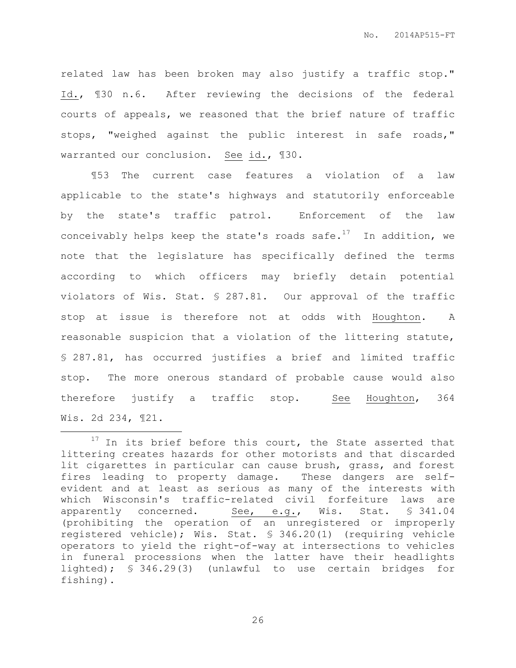related law has been broken may also justify a traffic stop." Id., ¶30 n.6. After reviewing the decisions of the federal courts of appeals, we reasoned that the brief nature of traffic stops, "weighed against the public interest in safe roads," warranted our conclusion. See id., ¶30.

¶53 The current case features a violation of a law applicable to the state's highways and statutorily enforceable by the state's traffic patrol. Enforcement of the law conceivably helps keep the state's roads safe.<sup>17</sup> In addition, we note that the legislature has specifically defined the terms according to which officers may briefly detain potential violators of Wis. Stat. § 287.81. Our approval of the traffic stop at issue is therefore not at odds with Houghton. A reasonable suspicion that a violation of the littering statute, § 287.81, has occurred justifies a brief and limited traffic stop. The more onerous standard of probable cause would also therefore justify a traffic stop. See Houghton, 364 Wis. 2d 234, ¶21.

 $\overline{a}$ 

 $17$  In its brief before this court, the State asserted that littering creates hazards for other motorists and that discarded lit cigarettes in particular can cause brush, grass, and forest fires leading to property damage. These dangers are selfevident and at least as serious as many of the interests with which Wisconsin's traffic-related civil forfeiture laws are apparently concerned. See, e.g., Wis. Stat. § 341.04 (prohibiting the operation of an unregistered or improperly registered vehicle); Wis. Stat. § 346.20(1) (requiring vehicle operators to yield the right-of-way at intersections to vehicles in funeral processions when the latter have their headlights lighted); § 346.29(3) (unlawful to use certain bridges for fishing).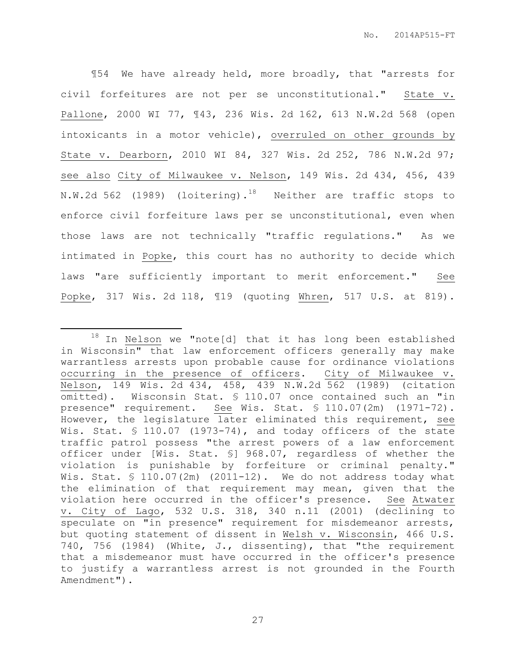¶54 We have already held, more broadly, that "arrests for civil forfeitures are not per se unconstitutional." State v. Pallone, 2000 WI 77, ¶43, 236 Wis. 2d 162, 613 N.W.2d 568 (open intoxicants in a motor vehicle), overruled on other grounds by State v. Dearborn, 2010 WI 84, 327 Wis. 2d 252, 786 N.W.2d 97; see also City of Milwaukee v. Nelson, 149 Wis. 2d 434, 456, 439 N.W.2d 562 (1989) (loitering).<sup>18</sup> Neither are traffic stops to enforce civil forfeiture laws per se unconstitutional, even when those laws are not technically "traffic regulations." As we intimated in Popke, this court has no authority to decide which laws "are sufficiently important to merit enforcement." See Popke, 317 Wis. 2d 118, ¶19 (quoting Whren, 517 U.S. at 819).

 $\overline{a}$ 

 $18$  In Nelson we "note[d] that it has long been established in Wisconsin" that law enforcement officers generally may make warrantless arrests upon probable cause for ordinance violations occurring in the presence of officers. City of Milwaukee v. Nelson, 149 Wis. 2d 434, 458, 439 N.W.2d 562 (1989) (citation omitted). Wisconsin Stat. § 110.07 once contained such an "in presence" requirement. See Wis. Stat. § 110.07(2m) (1971-72). However, the legislature later eliminated this requirement, see Wis. Stat. § 110.07 (1973-74), and today officers of the state traffic patrol possess "the arrest powers of a law enforcement officer under [Wis. Stat. §] 968.07, regardless of whether the violation is punishable by forfeiture or criminal penalty." Wis. Stat. § 110.07(2m) (2011-12). We do not address today what the elimination of that requirement may mean, given that the violation here occurred in the officer's presence. See Atwater v. City of Lago, 532 U.S. 318, 340 n.11 (2001) (declining to speculate on "in presence" requirement for misdemeanor arrests, but quoting statement of dissent in Welsh v. Wisconsin, 466 U.S. 740, 756 (1984) (White, J., dissenting), that "the requirement that a misdemeanor must have occurred in the officer's presence to justify a warrantless arrest is not grounded in the Fourth Amendment").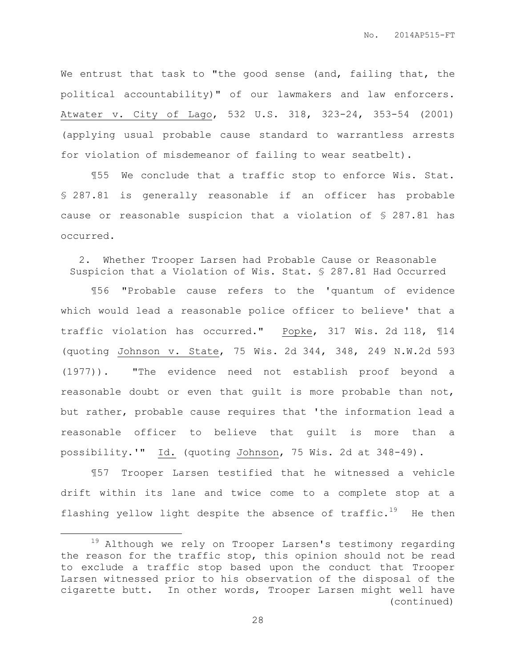We entrust that task to "the good sense (and, failing that, the political accountability)" of our lawmakers and law enforcers. Atwater v. City of Lago, 532 U.S. 318, 323-24, 353-54 (2001) (applying usual probable cause standard to warrantless arrests for violation of misdemeanor of failing to wear seatbelt).

¶55 We conclude that a traffic stop to enforce Wis. Stat. § 287.81 is generally reasonable if an officer has probable cause or reasonable suspicion that a violation of § 287.81 has occurred.

2. Whether Trooper Larsen had Probable Cause or Reasonable Suspicion that a Violation of Wis. Stat. § 287.81 Had Occurred

¶56 "Probable cause refers to the 'quantum of evidence which would lead a reasonable police officer to believe' that a traffic violation has occurred." Popke, 317 Wis. 2d 118, ¶14 (quoting Johnson v. State, 75 Wis. 2d 344, 348, 249 N.W.2d 593 (1977)). "The evidence need not establish proof beyond a reasonable doubt or even that guilt is more probable than not, but rather, probable cause requires that 'the information lead a reasonable officer to believe that guilt is more than a possibility.'" Id. (quoting Johnson, 75 Wis. 2d at 348-49).

¶57 Trooper Larsen testified that he witnessed a vehicle drift within its lane and twice come to a complete stop at a flashing yellow light despite the absence of  $\text{traffic.}^{19}$  He then

 $\overline{a}$ 

<sup>19</sup> Although we rely on Trooper Larsen's testimony regarding the reason for the traffic stop, this opinion should not be read to exclude a traffic stop based upon the conduct that Trooper Larsen witnessed prior to his observation of the disposal of the cigarette butt. In other words, Trooper Larsen might well have (continued)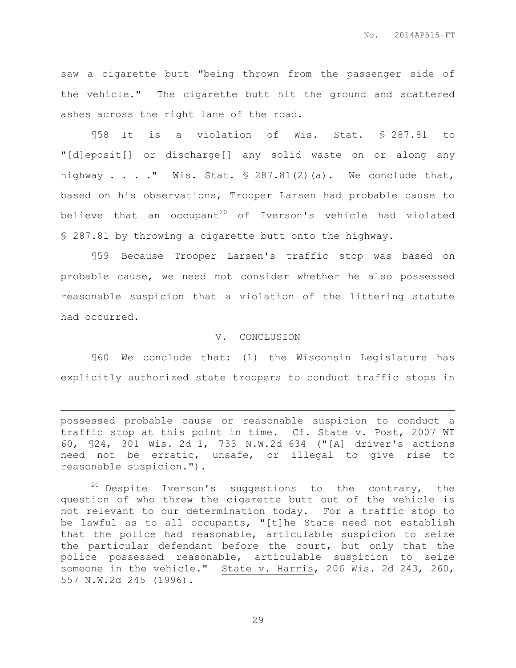saw a cigarette butt "being thrown from the passenger side of the vehicle." The cigarette butt hit the ground and scattered ashes across the right lane of the road.

¶58 It is a violation of Wis. Stat. § 287.81 to "[d]eposit[] or discharge[] any solid waste on or along any highway  $\ldots$  ." Wis. Stat.  $\frac{1}{2}$  287.81(2)(a). We conclude that, based on his observations, Trooper Larsen had probable cause to believe that an occupant<sup>20</sup> of Iverson's vehicle had violated § 287.81 by throwing a cigarette butt onto the highway.

¶59 Because Trooper Larsen's traffic stop was based on probable cause, we need not consider whether he also possessed reasonable suspicion that a violation of the littering statute had occurred.

#### V. CONCLUSION

¶60 We conclude that: (1) the Wisconsin Legislature has explicitly authorized state troopers to conduct traffic stops in

possessed probable cause or reasonable suspicion to conduct a traffic stop at this point in time. Cf. State v. Post, 2007 WI 60, ¶24, 301 Wis. 2d 1, 733 N.W.2d 634 ("[A] driver's actions need not be erratic, unsafe, or illegal to give rise to reasonable suspicion.").

 $\overline{a}$ 

 $20$  Despite Iverson's suggestions to the contrary, the question of who threw the cigarette butt out of the vehicle is not relevant to our determination today. For a traffic stop to be lawful as to all occupants, "[t]he State need not establish that the police had reasonable, articulable suspicion to seize the particular defendant before the court, but only that the police possessed reasonable, articulable suspicion to seize someone in the vehicle." State v. Harris, 206 Wis. 2d 243, 260, 557 N.W.2d 245 (1996).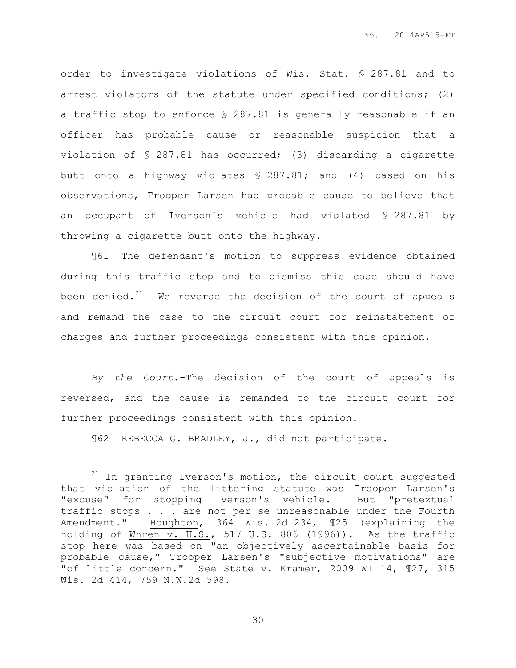order to investigate violations of Wis. Stat. § 287.81 and to arrest violators of the statute under specified conditions; (2) a traffic stop to enforce § 287.81 is generally reasonable if an officer has probable cause or reasonable suspicion that a violation of § 287.81 has occurred; (3) discarding a cigarette butt onto a highway violates § 287.81; and (4) based on his observations, Trooper Larsen had probable cause to believe that an occupant of Iverson's vehicle had violated § 287.81 by throwing a cigarette butt onto the highway.

¶61 The defendant's motion to suppress evidence obtained during this traffic stop and to dismiss this case should have been denied. $21$  We reverse the decision of the court of appeals and remand the case to the circuit court for reinstatement of charges and further proceedings consistent with this opinion.

*By the Court*.-The decision of the court of appeals is reversed, and the cause is remanded to the circuit court for further proceedings consistent with this opinion.

¶62 REBECCA G. BRADLEY, J., did not participate.

 $\overline{a}$ 

 $21$  In granting Iverson's motion, the circuit court suggested that violation of the littering statute was Trooper Larsen's "excuse" for stopping Iverson's vehicle. But "pretextual traffic stops . . . are not per se unreasonable under the Fourth Amendment." Houghton, 364 Wis. 2d 234, ¶25 (explaining the holding of Whren v. U.S., 517 U.S. 806 (1996)). As the traffic stop here was based on "an objectively ascertainable basis for probable cause," Trooper Larsen's "subjective motivations" are "of little concern." See State v. Kramer, 2009 WI 14, ¶27, 315 Wis. 2d 414, 759 N.W.2d 598.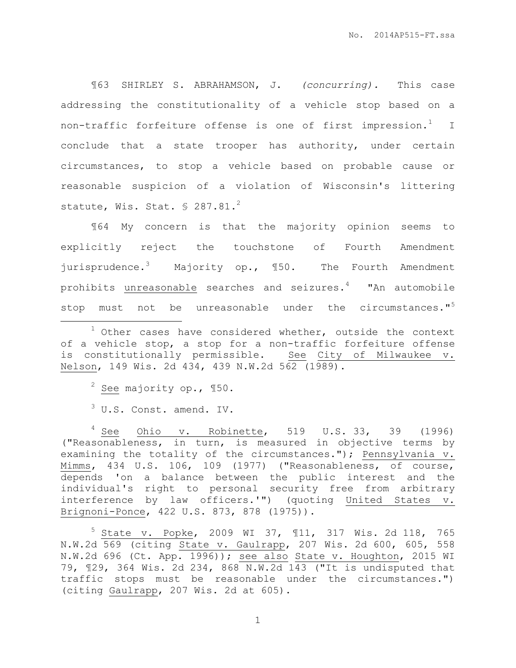¶63 SHIRLEY S. ABRAHAMSON, J. *(concurring).* This case addressing the constitutionality of a vehicle stop based on a non-traffic forfeiture offense is one of first impression.<sup>1</sup> I conclude that a state trooper has authority, under certain circumstances, to stop a vehicle based on probable cause or reasonable suspicion of a violation of Wisconsin's littering statute, Wis. Stat.  $\frac{6}{5}$  287.81.<sup>2</sup>

¶64 My concern is that the majority opinion seems to explicitly reject the touchstone of Fourth Amendment jurisprudence.<sup>3</sup> Majority op., 150. The Fourth Amendment prohibits unreasonable searches and seizures. $4$  "An automobile stop must not be unreasonable under the circumstances."<sup>5</sup>

 $2$  See majority op., 150.

 $\overline{a}$ 

<sup>3</sup> U.S. Const. amend. IV.

 $4$  See Ohio v. Robinette, 519 U.S. 33, 39 (1996) ("Reasonableness, in turn, is measured in objective terms by examining the totality of the circumstances."); Pennsylvania v. Mimms, 434 U.S. 106, 109 (1977) ("Reasonableness, of course, depends 'on a balance between the public interest and the individual's right to personal security free from arbitrary interference by law officers.'") (quoting United States v. Brignoni-Ponce, 422 U.S. 873, 878 (1975)).

<sup>5</sup> State v. Popke, 2009 WI 37, ¶11, 317 Wis. 2d 118, 765 N.W.2d 569 (citing State v. Gaulrapp, 207 Wis. 2d 600, 605, 558 N.W.2d 696 (Ct. App. 1996)); see also State v. Houghton, 2015 WI 79, ¶29, 364 Wis. 2d 234, 868 N.W.2d 143 ("It is undisputed that traffic stops must be reasonable under the circumstances.") (citing Gaulrapp, 207 Wis. 2d at 605).

 $1$  Other cases have considered whether, outside the context of a vehicle stop, a stop for a non-traffic forfeiture offense is constitutionally permissible. See City of Milwaukee v. Nelson, 149 Wis. 2d 434, 439 N.W.2d 562 (1989).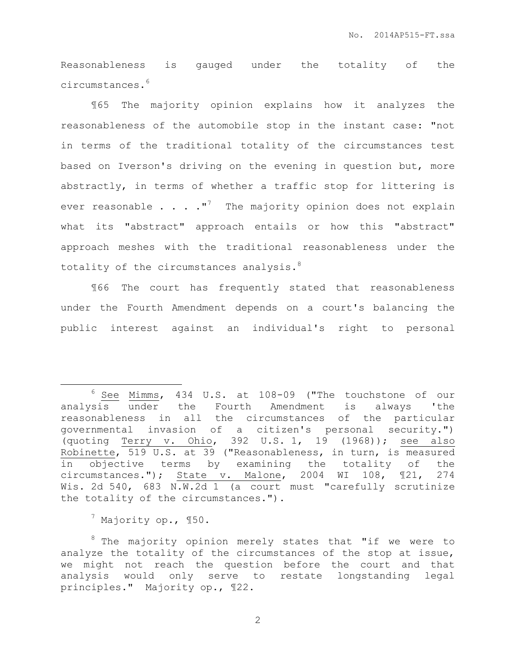Reasonableness is gauged under the totality of the circumstances.<sup>6</sup>

¶65 The majority opinion explains how it analyzes the reasonableness of the automobile stop in the instant case: "not in terms of the traditional totality of the circumstances test based on Iverson's driving on the evening in question but, more abstractly, in terms of whether a traffic stop for littering is ever reasonable  $\ldots$  . . . "<sup>7</sup> The majority opinion does not explain what its "abstract" approach entails or how this "abstract" approach meshes with the traditional reasonableness under the totality of the circumstances analysis.<sup>8</sup>

¶66 The court has frequently stated that reasonableness under the Fourth Amendment depends on a court's balancing the public interest against an individual's right to personal

 $^7$  Majority op., 150.

 $\overline{a}$ 

<sup>8</sup> The majority opinion merely states that "if we were to analyze the totality of the circumstances of the stop at issue, we might not reach the question before the court and that analysis would only serve to restate longstanding legal principles." Majority op., ¶22.

 $6$  See Mimms, 434 U.S. at 108-09 ("The touchstone of our analysis under the Fourth Amendment is always 'the reasonableness in all the circumstances of the particular governmental invasion of a citizen's personal security.") (quoting Terry v. Ohio, 392 U.S. 1, 19 (1968)); see also Robinette, 519 U.S. at 39 ("Reasonableness, in turn, is measured in objective terms by examining the totality of the circumstances."); State v. Malone, 2004 WI 108, ¶21, 274 Wis. 2d 540, 683 N.W.2d 1 (a court must "carefully scrutinize the totality of the circumstances.").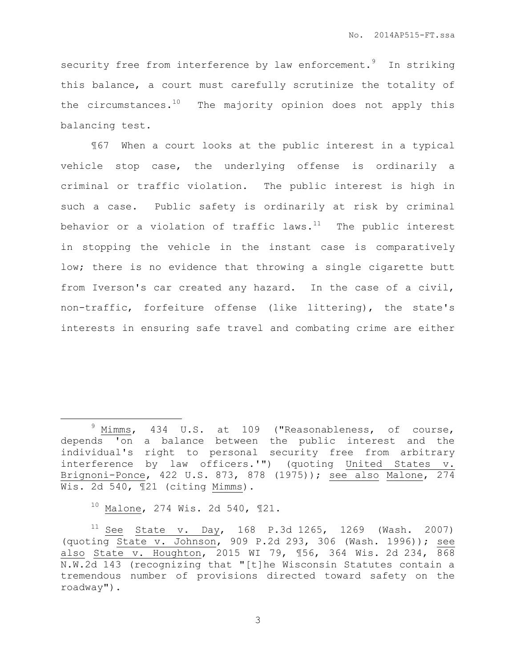security free from interference by law enforcement.<sup>9</sup> In striking this balance, a court must carefully scrutinize the totality of the circumstances. $10$  The majority opinion does not apply this balancing test.

¶67 When a court looks at the public interest in a typical vehicle stop case, the underlying offense is ordinarily a criminal or traffic violation. The public interest is high in such a case. Public safety is ordinarily at risk by criminal behavior or a violation of traffic laws. $11$  The public interest in stopping the vehicle in the instant case is comparatively low; there is no evidence that throwing a single cigarette butt from Iverson's car created any hazard. In the case of a civil, non-traffic, forfeiture offense (like littering), the state's interests in ensuring safe travel and combating crime are either

 $10$  Malone, 274 Wis. 2d 540, 121.

 $\overline{a}$ 

 $9$  Mimms, 434 U.S. at 109 ("Reasonableness, of course, depends 'on a balance between the public interest and the individual's right to personal security free from arbitrary interference by law officers.'") (quoting United States v. Brignoni-Ponce, 422 U.S. 873, 878 (1975)); see also Malone, 274 Wis. 2d 540, ¶21 (citing Mimms).

 $11$  See State v. Day, 168 P.3d 1265, 1269 (Wash. 2007) (quoting State v. Johnson, 909 P.2d 293, 306 (Wash. 1996)); see also State v. Houghton, 2015 WI 79, ¶56, 364 Wis. 2d 234, 868 N.W.2d 143 (recognizing that "[t]he Wisconsin Statutes contain a tremendous number of provisions directed toward safety on the roadway").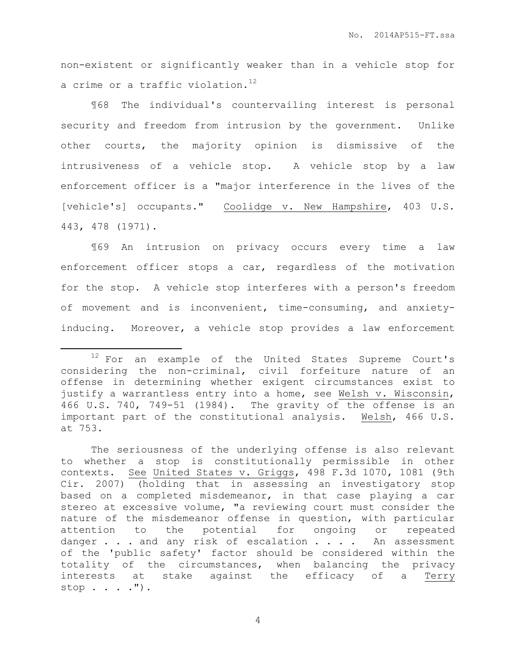non-existent or significantly weaker than in a vehicle stop for a crime or a traffic violation.<sup>12</sup>

¶68 The individual's countervailing interest is personal security and freedom from intrusion by the government. Unlike other courts, the majority opinion is dismissive of the intrusiveness of a vehicle stop. A vehicle stop by a law enforcement officer is a "major interference in the lives of the [vehicle's] occupants." Coolidge v. New Hampshire, 403 U.S. 443, 478 (1971).

¶69 An intrusion on privacy occurs every time a law enforcement officer stops a car, regardless of the motivation for the stop. A vehicle stop interferes with a person's freedom of movement and is inconvenient, time-consuming, and anxietyinducing. Moreover, a vehicle stop provides a law enforcement

 $\overline{a}$ 

<sup>12</sup> For an example of the United States Supreme Court's considering the non-criminal, civil forfeiture nature of an offense in determining whether exigent circumstances exist to justify a warrantless entry into a home, see Welsh v. Wisconsin, 466 U.S. 740, 749-51 (1984). The gravity of the offense is an important part of the constitutional analysis. Welsh, 466 U.S. at 753.

The seriousness of the underlying offense is also relevant to whether a stop is constitutionally permissible in other contexts. See United States v. Griggs, 498 F.3d 1070, 1081 (9th Cir. 2007) (holding that in assessing an investigatory stop based on a completed misdemeanor, in that case playing a car stereo at excessive volume, "a reviewing court must consider the nature of the misdemeanor offense in question, with particular attention to the potential for ongoing or repeated danger . . . and any risk of escalation . . . . An assessment of the 'public safety' factor should be considered within the totality of the circumstances, when balancing the privacy interests at stake against the efficacy of a Terry stop . . . .").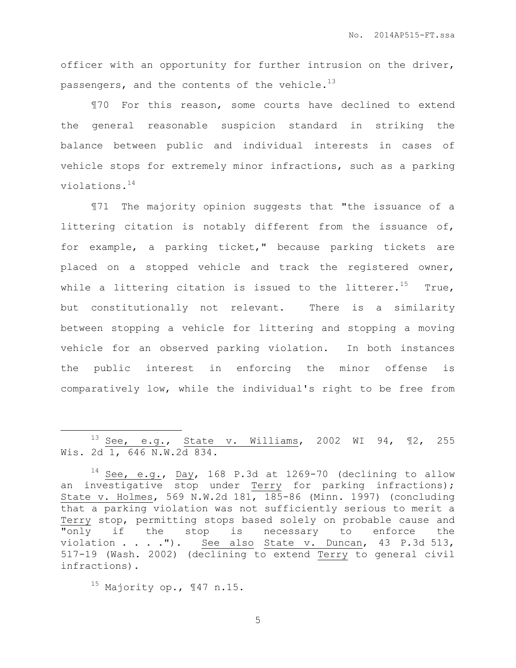officer with an opportunity for further intrusion on the driver, passengers, and the contents of the vehicle. $^{13}$ 

¶70 For this reason, some courts have declined to extend the general reasonable suspicion standard in striking the balance between public and individual interests in cases of vehicle stops for extremely minor infractions, such as a parking violations.<sup>14</sup>

¶71 The majority opinion suggests that "the issuance of a littering citation is notably different from the issuance of, for example, a parking ticket," because parking tickets are placed on a stopped vehicle and track the registered owner, while a littering citation is issued to the litterer.<sup>15</sup> True, but constitutionally not relevant. There is a similarity between stopping a vehicle for littering and stopping a moving vehicle for an observed parking violation. In both instances the public interest in enforcing the minor offense is comparatively low, while the individual's right to be free from

 $\overline{a}$ 

 $13 \text{ See, } e.g.,$  State v. Williams, 2002 WI 94, 12, 255 Wis. 2d 1, 646 N.W.2d 834.

 $14$  See, e.g., Day, 168 P.3d at 1269-70 (declining to allow an investigative stop under Terry for parking infractions); State v. Holmes, 569 N.W.2d 181, 185-86 (Minn. 1997) (concluding that a parking violation was not sufficiently serious to merit a Terry stop, permitting stops based solely on probable cause and "only if the stop is necessary to enforce the violation . . . ."). See also State v. Duncan, 43 P.3d 513, 517-19 (Wash. 2002) (declining to extend Terry to general civil infractions).

<sup>15</sup> Majority op., ¶47 n.15.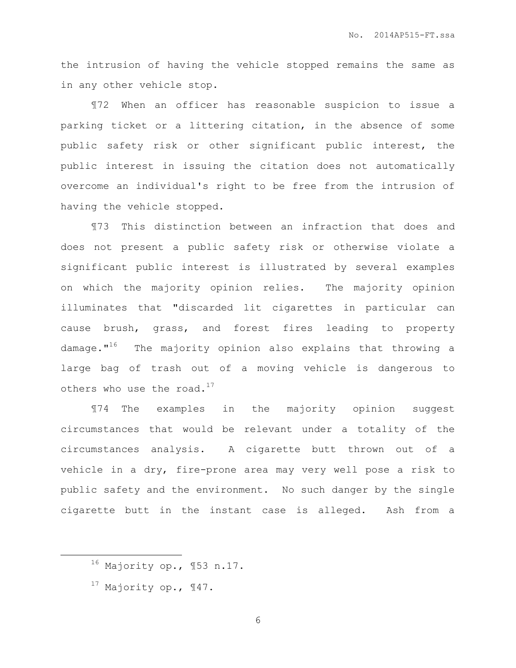the intrusion of having the vehicle stopped remains the same as in any other vehicle stop.

¶72 When an officer has reasonable suspicion to issue a parking ticket or a littering citation, in the absence of some public safety risk or other significant public interest, the public interest in issuing the citation does not automatically overcome an individual's right to be free from the intrusion of having the vehicle stopped.

¶73 This distinction between an infraction that does and does not present a public safety risk or otherwise violate a significant public interest is illustrated by several examples on which the majority opinion relies. The majority opinion illuminates that "discarded lit cigarettes in particular can cause brush, grass, and forest fires leading to property damage."<sup>16</sup> The majority opinion also explains that throwing a large bag of trash out of a moving vehicle is dangerous to others who use the road. $^{17}$ 

¶74 The examples in the majority opinion suggest circumstances that would be relevant under a totality of the circumstances analysis. A cigarette butt thrown out of a vehicle in a dry, fire-prone area may very well pose a risk to public safety and the environment. No such danger by the single cigarette butt in the instant case is alleged. Ash from a

 $\overline{a}$ 

<sup>16</sup> Majority op., ¶53 n.17.

 $17$  Majority op.,  $\P$ 47.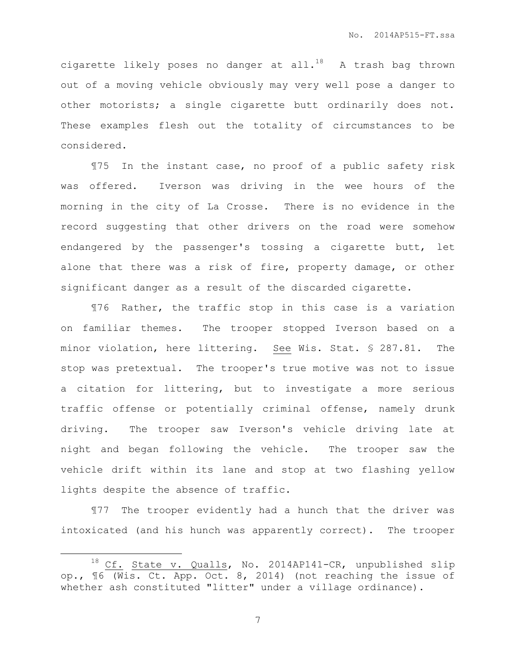cigarette likely poses no danger at all.<sup>18</sup> A trash bag thrown out of a moving vehicle obviously may very well pose a danger to other motorists; a single cigarette butt ordinarily does not. These examples flesh out the totality of circumstances to be considered.

¶75 In the instant case, no proof of a public safety risk was offered. Iverson was driving in the wee hours of the morning in the city of La Crosse. There is no evidence in the record suggesting that other drivers on the road were somehow endangered by the passenger's tossing a cigarette butt, let alone that there was a risk of fire, property damage, or other significant danger as a result of the discarded cigarette.

¶76 Rather, the traffic stop in this case is a variation on familiar themes. The trooper stopped Iverson based on a minor violation, here littering. See Wis. Stat. § 287.81. The stop was pretextual. The trooper's true motive was not to issue a citation for littering, but to investigate a more serious traffic offense or potentially criminal offense, namely drunk driving. The trooper saw Iverson's vehicle driving late at night and began following the vehicle. The trooper saw the vehicle drift within its lane and stop at two flashing yellow lights despite the absence of traffic.

¶77 The trooper evidently had a hunch that the driver was intoxicated (and his hunch was apparently correct). The trooper

 $\overline{a}$ 

<sup>&</sup>lt;sup>18</sup> Cf. State v. Qualls, No. 2014AP141-CR, unpublished slip op., ¶6 (Wis. Ct. App. Oct. 8, 2014) (not reaching the issue of whether ash constituted "litter" under a village ordinance).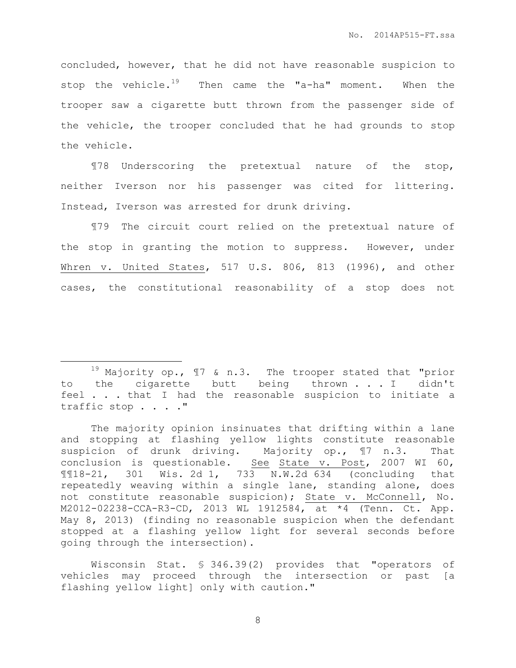concluded, however, that he did not have reasonable suspicion to stop the vehicle.<sup>19</sup> Then came the "a-ha" moment. When the trooper saw a cigarette butt thrown from the passenger side of the vehicle, the trooper concluded that he had grounds to stop the vehicle.

¶78 Underscoring the pretextual nature of the stop, neither Iverson nor his passenger was cited for littering. Instead, Iverson was arrested for drunk driving.

¶79 The circuit court relied on the pretextual nature of the stop in granting the motion to suppress. However, under Whren v. United States, 517 U.S. 806, 813 (1996), and other cases, the constitutional reasonability of a stop does not

 $\overline{a}$ 

 $19$  Majority op.,  $17$  & n.3. The trooper stated that "prior to the cigarette butt being thrown . . . I didn't feel . . . that I had the reasonable suspicion to initiate a traffic stop . . . ."

The majority opinion insinuates that drifting within a lane and stopping at flashing yellow lights constitute reasonable suspicion of drunk driving. Majority op., ¶7 n.3. That conclusion is questionable. See State v. Post, 2007 WI 60, ¶¶18-21, 301 Wis. 2d 1, 733 N.W.2d 634 (concluding that repeatedly weaving within a single lane, standing alone, does not constitute reasonable suspicion); State v. McConnell, No. M2012-02238-CCA-R3-CD, 2013 WL 1912584, at \*4 (Tenn. Ct. App. May 8, 2013) (finding no reasonable suspicion when the defendant stopped at a flashing yellow light for several seconds before going through the intersection).

Wisconsin Stat. § 346.39(2) provides that "operators of vehicles may proceed through the intersection or past [a flashing yellow light] only with caution."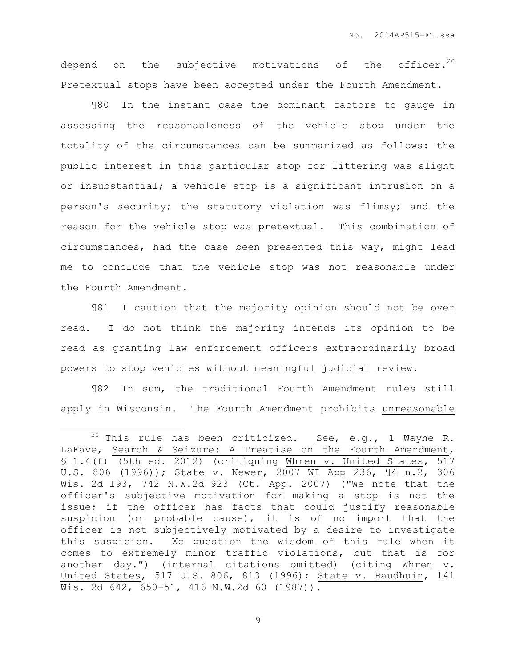depend on the subjective motivations of the officer.<sup>20</sup> Pretextual stops have been accepted under the Fourth Amendment.

¶80 In the instant case the dominant factors to gauge in assessing the reasonableness of the vehicle stop under the totality of the circumstances can be summarized as follows: the public interest in this particular stop for littering was slight or insubstantial; a vehicle stop is a significant intrusion on a person's security; the statutory violation was flimsy; and the reason for the vehicle stop was pretextual. This combination of circumstances, had the case been presented this way, might lead me to conclude that the vehicle stop was not reasonable under the Fourth Amendment.

¶81 I caution that the majority opinion should not be over read. I do not think the majority intends its opinion to be read as granting law enforcement officers extraordinarily broad powers to stop vehicles without meaningful judicial review.

¶82 In sum, the traditional Fourth Amendment rules still apply in Wisconsin. The Fourth Amendment prohibits unreasonable

 $\overline{a}$ 

<sup>&</sup>lt;sup>20</sup> This rule has been criticized. See, e.g., 1 Wayne R. LaFave, Search & Seizure: A Treatise on the Fourth Amendment, § 1.4(f) (5th ed. 2012) (critiquing Whren v. United States, 517 U.S. 806 (1996)); State v. Newer, 2007 WI App 236, ¶4 n.2, 306 Wis. 2d 193, 742 N.W.2d 923 (Ct. App. 2007) ("We note that the officer's subjective motivation for making a stop is not the issue; if the officer has facts that could justify reasonable suspicion (or probable cause), it is of no import that the officer is not subjectively motivated by a desire to investigate this suspicion. We question the wisdom of this rule when it comes to extremely minor traffic violations, but that is for another day.") (internal citations omitted) (citing Whren v. United States, 517 U.S. 806, 813 (1996); State v. Baudhuin, 141 Wis. 2d 642, 650-51, 416 N.W.2d 60 (1987)).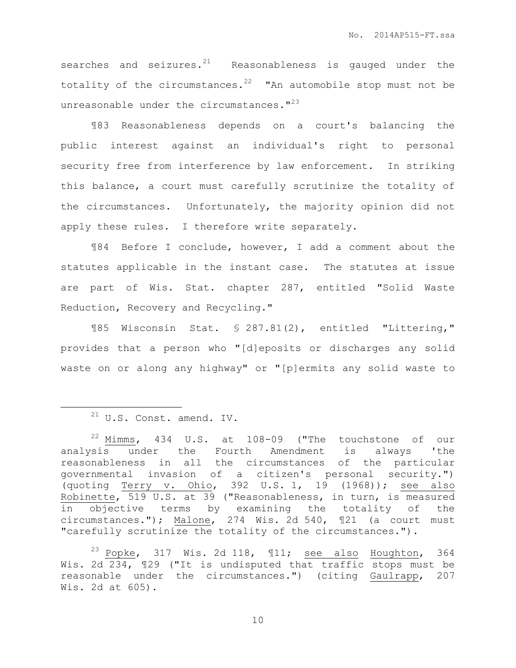searches and seizures. $^{21}$  Reasonableness is gauged under the totality of the circumstances. $22$  "An automobile stop must not be unreasonable under the circumstances. $123$ 

¶83 Reasonableness depends on a court's balancing the public interest against an individual's right to personal security free from interference by law enforcement. In striking this balance, a court must carefully scrutinize the totality of the circumstances. Unfortunately, the majority opinion did not apply these rules. I therefore write separately.

¶84 Before I conclude, however, I add a comment about the statutes applicable in the instant case. The statutes at issue are part of Wis. Stat. chapter 287, entitled "Solid Waste Reduction, Recovery and Recycling."

¶85 Wisconsin Stat. § 287.81(2), entitled "Littering," provides that a person who "[d]eposits or discharges any solid waste on or along any highway" or "[p]ermits any solid waste to

 $\overline{a}$ 

 $23$  Popke, 317 Wis. 2d 118,  $\text{I1};$  see also Houghton, 364 Wis. 2d 234, ¶29 ("It is undisputed that traffic stops must be reasonable under the circumstances.") (citing Gaulrapp, 207 Wis. 2d at 605).

 $21$  U.S. Const. amend. IV.

 $22$  Mimms, 434 U.S. at 108-09 ("The touchstone of our analysis under the Fourth Amendment is always 'the reasonableness in all the circumstances of the particular governmental invasion of a citizen's personal security.") (quoting Terry v. Ohio, 392 U.S. 1, 19 (1968)); see also Robinette, 519 U.S. at 39 ("Reasonableness, in turn, is measured in objective terms by examining the totality of the circumstances."); Malone, 274 Wis. 2d 540, ¶21 (a court must "carefully scrutinize the totality of the circumstances.").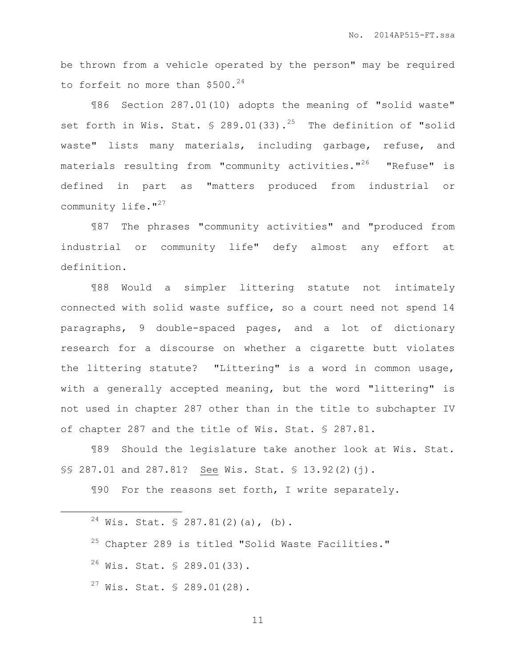be thrown from a vehicle operated by the person" may be required to forfeit no more than  $$500.^{24}$ 

¶86 Section 287.01(10) adopts the meaning of "solid waste" set forth in Wis. Stat.  $\frac{1}{2}$  289.01(33).<sup>25</sup> The definition of "solid waste" lists many materials, including garbage, refuse, and materials resulting from "community activities." $^{26}$  "Refuse" is defined in part as "matters produced from industrial or community life. $127$ 

¶87 The phrases "community activities" and "produced from industrial or community life" defy almost any effort at definition.

¶88 Would a simpler littering statute not intimately connected with solid waste suffice, so a court need not spend 14 paragraphs, 9 double-spaced pages, and a lot of dictionary research for a discourse on whether a cigarette butt violates the littering statute? "Littering" is a word in common usage, with a generally accepted meaning, but the word "littering" is not used in chapter 287 other than in the title to subchapter IV of chapter 287 and the title of Wis. Stat. § 287.81.

¶89 Should the legislature take another look at Wis. Stat. §§ 287.01 and 287.81? See Wis. Stat. § 13.92(2)(j).

¶90 For the reasons set forth, I write separately.

 $24$  Wis. Stat. § 287.81(2)(a), (b).

 $26$  Wis. Stat. § 289.01(33).

 $\overline{a}$ 

 $27$  Wis. Stat. § 289.01(28).

<sup>25</sup> Chapter 289 is titled "Solid Waste Facilities."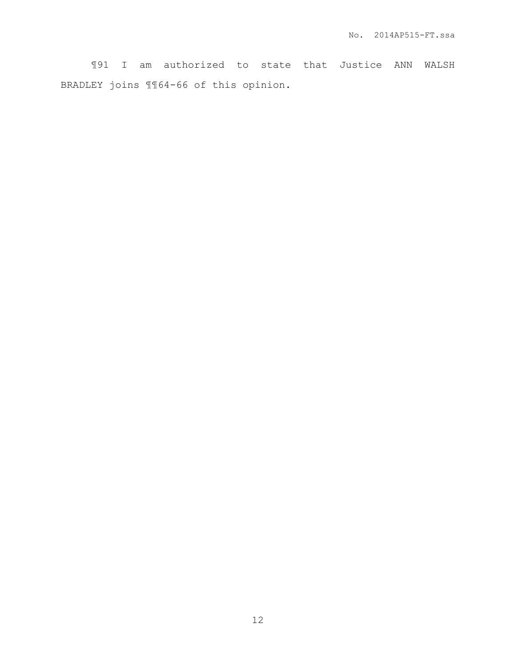¶91 I am authorized to state that Justice ANN WALSH BRADLEY joins ¶¶64-66 of this opinion.